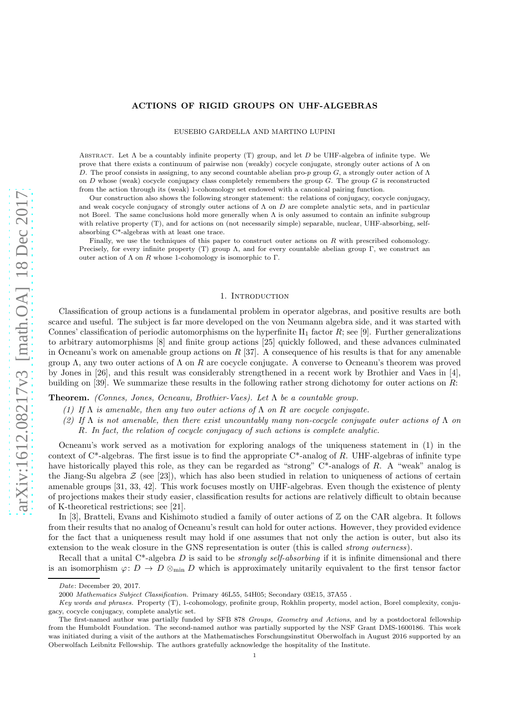# arXiv:1612.08217v3 [math.OA] 18 Dec 2017 [arXiv:1612.08217v3 \[math.OA\] 18 Dec 2017](http://arxiv.org/abs/1612.08217v3)

# ACTIONS OF RIGID GROUPS ON UHF-ALGEBRAS

EUSEBIO GARDELLA AND MARTINO LUPINI

ABSTRACT. Let  $\Lambda$  be a countably infinite property (T) group, and let D be UHF-algebra of infinite type. We prove that there exists a continuum of pairwise non (weakly) cocycle conjugate, strongly outer actions of Λ on D. The proof consists in assigning, to any second countable abelian pro-p group G, a strongly outer action of  $\Lambda$ on  $D$  whose (weak) cocycle conjugacy class completely remembers the group  $G$ . The group  $G$  is reconstructed from the action through its (weak) 1-cohomology set endowed with a canonical pairing function.

Our construction also shows the following stronger statement: the relations of conjugacy, cocycle conjugacy, and weak cocycle conjugacy of strongly outer actions of  $\Lambda$  on D are complete analytic sets, and in particular not Borel. The same conclusions hold more generally when Λ is only assumed to contain an infinite subgroup with relative property (T), and for actions on (not necessarily simple) separable, nuclear, UHF-absorbing, selfabsorbing C\*-algebras with at least one trace.

Finally, we use the techniques of this paper to construct outer actions on R with prescribed cohomology. Precisely, for every infinite property (T) group  $\Lambda$ , and for every countable abelian group Γ, we construct an outer action of  $Λ$  on  $R$  whose 1-cohomology is isomorphic to Γ.

### 1. Introduction

Classification of group actions is a fundamental problem in operator algebras, and positive results are both scarce and useful. The subject is far more developed on the von Neumann algebra side, and it was started with Connes' classification of periodic automorphisms on the hyperfinite  $II_1$  factor R; see [\[9\]](#page-22-0). Further generalizations to arbitrary automorphisms [\[8\]](#page-22-1) and finite group actions [\[25\]](#page-22-2) quickly followed, and these advances culminated in Ocneanu's work on amenable group actions on  $R$  [\[37\]](#page-23-0). A consequence of his results is that for any amenable group  $\Lambda$ , any two outer actions of  $\Lambda$  on R are cocycle conjugate. A converse to Ocneanu's theorem was proved by Jones in [\[26\]](#page-22-3), and this result was considerably strengthened in a recent work by Brothier and Vaes in [\[4\]](#page-22-4), building on [\[39\]](#page-23-1). We summarize these results in the following rather strong dichotomy for outer actions on R:

**Theorem.** (Connes, Jones, Ocneanu, Brothier-Vaes). Let  $\Lambda$  be a countable group.

- (1) If  $\Lambda$  is amenable, then any two outer actions of  $\Lambda$  on R are cocycle conjugate.
- (2) If  $\Lambda$  is not amenable, then there exist uncountably many non-cocycle conjugate outer actions of  $\Lambda$  on
	- R. In fact, the relation of cocycle conjugacy of such actions is complete analytic.

Ocneanu's work served as a motivation for exploring analogs of the uniqueness statement in (1) in the context of  $C^*$ -algebras. The first issue is to find the appropriate  $C^*$ -analog of R. UHF-algebras of infinite type have historically played this role, as they can be regarded as "strong" C\*-analogs of R. A "weak" analog is the Jiang-Su algebra  $\mathcal{Z}$  (see [\[23\]](#page-22-5)), which has also been studied in relation to uniqueness of actions of certain amenable groups [\[31,](#page-23-2) [33,](#page-23-3) [42\]](#page-23-4). This work focuses mostly on UHF-algebras. Even though the existence of plenty of projections makes their study easier, classification results for actions are relatively difficult to obtain because of K-theoretical restrictions; see [\[21\]](#page-22-6).

In [\[3\]](#page-22-7), Bratteli, Evans and Kishimoto studied a family of outer actions of  $\mathbb Z$  on the CAR algebra. It follows from their results that no analog of Ocneanu's result can hold for outer actions. However, they provided evidence for the fact that a uniqueness result may hold if one assumes that not only the action is outer, but also its extension to the weak closure in the GNS representation is outer (this is called strong outerness).

Recall that a unital  $C^*$ -algebra D is said to be *strongly self-absorbing* if it is infinite dimensional and there is an isomorphism  $\varphi: D \to D \otimes_{\min} D$  which is approximately unitarily equivalent to the first tensor factor

*Date*: December 20, 2017.

<sup>2000</sup> *Mathematics Subject Classification.* Primary 46L55, 54H05; Secondary 03E15, 37A55 .

*Key words and phrases.* Property (T), 1-cohomology, profinite group, Rokhlin property, model action, Borel complexity, conjugacy, cocycle conjugacy, complete analytic set.

The first-named author was partially funded by SFB 878 *Groups, Geometry and Actions*, and by a postdoctoral fellowship from the Humboldt Foundation. The second-named author was partially supported by the NSF Grant DMS-1600186. This work was initiated during a visit of the authors at the Mathematisches Forschungsinstitut Oberwolfach in August 2016 supported by an Oberwolfach Leibnitz Fellowship. The authors gratefully acknowledge the hospitality of the Institute.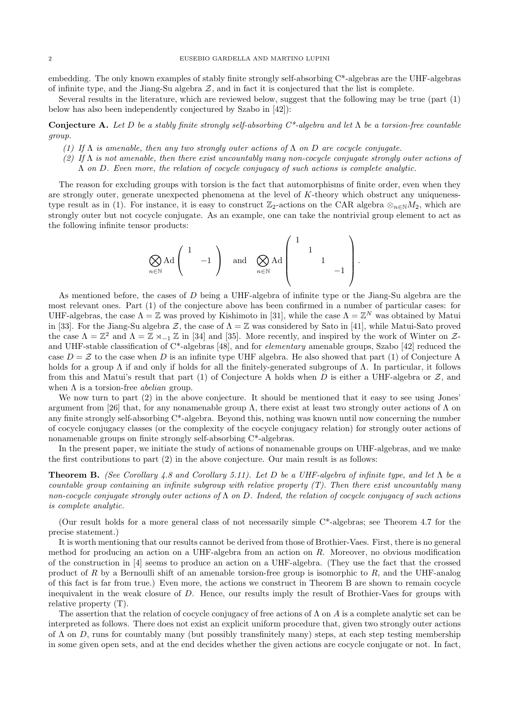embedding. The only known examples of stably finite strongly self-absorbing C\*-algebras are the UHF-algebras of infinite type, and the Jiang-Su algebra  $Z$ , and in fact it is conjectured that the list is complete.

Several results in the literature, which are reviewed below, suggest that the following may be true (part (1) below has also been independently conjectured by Szabo in [\[42\]](#page-23-4)):

<span id="page-1-0"></span>Conjecture A. Let D be a stably finite strongly self-absorbing  $C^*$ -algebra and let  $\Lambda$  be a torsion-free countable group.

- (1) If  $\Lambda$  is amenable, then any two strongly outer actions of  $\Lambda$  on D are cocycle conjugate.
- (2) If  $\Lambda$  is not amenable, then there exist uncountably many non-cocycle conjugate strongly outer actions of  $\Lambda$  on D. Even more, the relation of cocycle conjugacy of such actions is complete analytic.

The reason for excluding groups with torsion is the fact that automorphisms of finite order, even when they are strongly outer, generate unexpected phenomena at the level of K-theory which obstruct any uniquenesstype result as in (1). For instance, it is easy to construct  $\mathbb{Z}_2$ -actions on the CAR algebra  $\otimes_{n\in\mathbb{N}}M_2$ , which are strongly outer but not cocycle conjugate. As an example, one can take the nontrivial group element to act as the following infinite tensor products:

$$
\bigotimes_{n\in\mathbb{N}}\mathrm{Ad}\left(\begin{array}{ccc}1&\\&-1\\&&\end{array}\right)\quad\text{and}\quad\bigotimes_{n\in\mathbb{N}}\mathrm{Ad}\left(\begin{array}{ccc}1&&\\&1\\&&1\\&&-1\\&&&-1\end{array}\right).
$$

As mentioned before, the cases of D being a UHF-algebra of infinite type or the Jiang-Su algebra are the most relevant ones. Part (1) of the conjecture above has been confirmed in a number of particular cases: for UHF-algebras, the case  $\Lambda = \mathbb{Z}$  was proved by Kishimoto in [\[31\]](#page-23-2), while the case  $\Lambda = \mathbb{Z}^N$  was obtained by Matui in [\[33\]](#page-23-3). For the Jiang-Su algebra Z, the case of  $\Lambda = \mathbb{Z}$  was considered by Sato in [\[41\]](#page-23-5), while Matui-Sato proved the case  $\Lambda = \mathbb{Z}^2$  and  $\Lambda = \mathbb{Z} \rtimes_{-1} \mathbb{Z}$  in [\[34\]](#page-23-6) and [\[35\]](#page-23-7). More recently, and inspired by the work of Winter on  $\mathcal{Z}$ and UHF-stable classification of C\*-algebras [\[48\]](#page-23-8), and for elementary amenable groups, Szabo [\[42\]](#page-23-4) reduced the case  $D = \mathcal{Z}$  to the case when D is an infinite type UHF algebra. He also showed that part (1) of Conjecture [A](#page-1-0) holds for a group  $\Lambda$  if and only if holds for all the finitely-generated subgroups of  $\Lambda$ . In particular, it follows from this and Matui's result that part (1) of Conjecture [A](#page-1-0) holds when D is either a UHF-algebra or  $Z$ , and when  $\Lambda$  is a torsion-free *abelian* group.

We now turn to part (2) in the above conjecture. It should be mentioned that it easy to see using Jones' argument from [\[26\]](#page-22-3) that, for any nonamenable group Λ, there exist at least two strongly outer actions of Λ on any finite strongly self-absorbing C\*-algebra. Beyond this, nothing was known until now concerning the number of cocycle conjugacy classes (or the complexity of the cocycle conjugacy relation) for strongly outer actions of nonamenable groups on finite strongly self-absorbing C\*-algebras.

In the present paper, we initiate the study of actions of nonamenable groups on UHF-algebras, and we make the first contributions to part (2) in the above conjecture. Our main result is as follows:

<span id="page-1-1"></span>**Theorem B.** (See Corollary [4.8](#page-15-0) and Corollary [5.11\)](#page-20-0). Let D be a UHF-algebra of infinite type, and let  $\Lambda$  be a countable group containing an infinite subgroup with relative property (T). Then there exist uncountably many non-cocycle conjugate strongly outer actions of  $\Lambda$  on D. Indeed, the relation of cocycle conjugacy of such actions is complete analytic.

(Our result holds for a more general class of not necessarily simple C\*-algebras; see Theorem [4.7](#page-15-1) for the precise statement.)

It is worth mentioning that our results cannot be derived from those of Brothier-Vaes. First, there is no general method for producing an action on a UHF-algebra from an action on R. Moreover, no obvious modification of the construction in [\[4\]](#page-22-4) seems to produce an action on a UHF-algebra. (They use the fact that the crossed product of R by a Bernoulli shift of an amenable torsion-free group is isomorphic to R, and the UHF-analog of this fact is far from true.) Even more, the actions we construct in Theorem [B](#page-1-1) are shown to remain cocycle inequivalent in the weak closure of D. Hence, our results imply the result of Brothier-Vaes for groups with relative property (T).

The assertion that the relation of cocycle conjugacy of free actions of  $\Lambda$  on A is a complete analytic set can be interpreted as follows. There does not exist an explicit uniform procedure that, given two strongly outer actions of  $\Lambda$  on D, runs for countably many (but possibly transfinitely many) steps, at each step testing membership in some given open sets, and at the end decides whether the given actions are cocycle conjugate or not. In fact,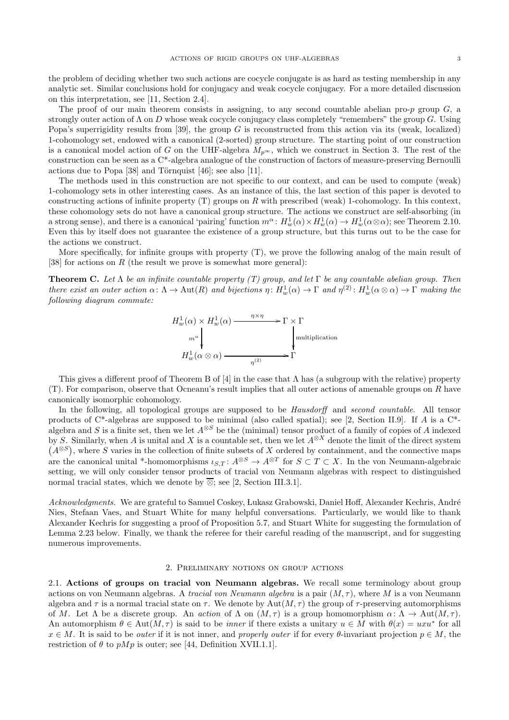the problem of deciding whether two such actions are cocycle conjugate is as hard as testing membership in any analytic set. Similar conclusions hold for conjugacy and weak cocycle conjugacy. For a more detailed discussion on this interpretation, see [\[11,](#page-22-8) Section 2.4].

The proof of our main theorem consists in assigning, to any second countable abelian pro-p group  $G$ , a strongly outer action of  $\Lambda$  on D whose weak cocycle conjugacy class completely "remembers" the group G. Using Popa's superrigidity results from [\[39\]](#page-23-1), the group  $G$  is reconstructed from this action via its (weak, localized) 1-cohomology set, endowed with a canonical (2-sorted) group structure. The starting point of our construction is a canonical model action of G on the UHF-algebra  $M_{p^{\infty}}$ , which we construct in Section [3.](#page-7-0) The rest of the construction can be seen as a C\*-algebra analogue of the construction of factors of measure-preserving Bernoulli actions due to Popa  $[38]$  and Törnquist  $[46]$ ; see also  $[11]$ .

The methods used in this construction are not specific to our context, and can be used to compute (weak) 1-cohomology sets in other interesting cases. As an instance of this, the last section of this paper is devoted to constructing actions of infinite property  $(T)$  groups on R with prescribed (weak) 1-cohomology. In this context, these cohomology sets do not have a canonical group structure. The actions we construct are self-absorbing (in a strong sense), and there is a canonical 'pairing' function  $m^{\alpha}$ :  $H_w^1(\alpha) \times H_w^1(\alpha) \to H_w^1(\alpha \otimes \alpha)$ ; see [Theorem 2.10.](#page-4-0) Even this by itself does not guarantee the existence of a group structure, but this turns out to be the case for the actions we construct.

More specifically, for infinite groups with property (T), we prove the following analog of the main result of [\[38\]](#page-23-9) for actions on R (the result we prove is somewhat more general):

**Theorem C.** Let  $\Lambda$  be an infinite countable property (T) group, and let  $\Gamma$  be any countable abelian group. Then there exist an outer action  $\alpha \colon \Lambda \to \text{Aut}(R)$  and bijections  $\eta \colon H_w^1(\alpha) \to \Gamma$  and  $\eta^{(2)} \colon H_w^1(\alpha \otimes \alpha) \to \Gamma$  making the following diagram commute:



This gives a different proof of Theorem B of [\[4\]](#page-22-4) in the case that  $\Lambda$  has (a subgroup with the relative) property (T). For comparison, observe that Ocneanu's result implies that all outer actions of amenable groups on R have canonically isomorphic cohomology.

In the following, all topological groups are supposed to be *Hausdorff* and *second countable*. All tensor products of C\*-algebras are supposed to be minimal (also called spatial); see [\[2,](#page-22-9) Section II.9]. If A is a C\* algebra and S is a finite set, then we let  $A^{\otimes S}$  be the (minimal) tensor product of a family of copies of A indexed by S. Similarly, when A is unital and X is a countable set, then we let  $A^{\otimes X}$  denote the limit of the direct system  $(A^{\otimes S})$ , where S varies in the collection of finite subsets of X ordered by containment, and the connective maps are the canonical unital \*-homomorphisms  $\iota_{S,T} : A^{\otimes S} \to A^{\otimes T}$  for  $S \subset T \subset X$ . In the von Neumann-algebraic setting, we will only consider tensor products of tracial von Neumann algebras with respect to distinguished normal tracial states, which we denote by  $\overline{\otimes}$ ; see [\[2,](#page-22-9) Section III.3.1].

Acknowledgments. We are grateful to Samuel Coskey, Lukasz Grabowski, Daniel Hoff, Alexander Kechris, André Nies, Stefaan Vaes, and Stuart White for many helpful conversations. Particularly, we would like to thank Alexander Kechris for suggesting a proof of Proposition [5.7,](#page-18-0) and Stuart White for suggesting the formulation of Lemma [2.23](#page-7-1) below. Finally, we thank the referee for their careful reading of the manuscript, and for suggesting numerous improvements.

### 2. Preliminary notions on group actions

2.1. Actions of groups on tracial von Neumann algebras. We recall some terminology about group actions on von Neumann algebras. A tracial von Neumann algebra is a pair  $(M, \tau)$ , where M is a von Neumann algebra and  $\tau$  is a normal tracial state on  $\tau$ . We denote by Aut $(M, \tau)$  the group of  $\tau$ -preserving automorphisms of M. Let  $\Lambda$  be a discrete group. An action of  $\Lambda$  on  $(M, \tau)$  is a group homomorphism  $\alpha \colon \Lambda \to \text{Aut}(M, \tau)$ . An automorphism  $\theta \in Aut(M, \tau)$  is said to be *inner* if there exists a unitary  $u \in M$  with  $\theta(x) = uxu^*$  for all  $x \in M$ . It is said to be *outer* if it is not inner, and *properly outer* if for every  $\theta$ -invariant projection  $p \in M$ , the restriction of  $\theta$  to  $pMp$  is outer; see [\[44,](#page-23-11) Definition XVII.1.1].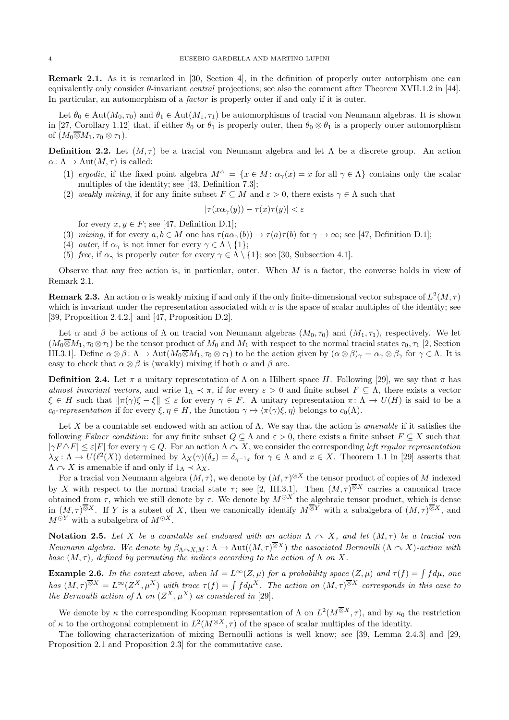<span id="page-3-0"></span>Remark 2.1. As it is remarked in [\[30,](#page-22-10) Section 4], in the definition of properly outer autorphism one can equivalently only consider  $\theta$ -invariant *central* projections; see also the comment after Theorem XVII.1.2 in [\[44\]](#page-23-11). In particular, an automorphism of a *factor* is properly outer if and only if it is outer.

Let  $\theta_0 \in \text{Aut}(M_0, \tau_0)$  and  $\theta_1 \in \text{Aut}(M_1, \tau_1)$  be automorphisms of tracial von Neumann algebras. It is shown in [\[27,](#page-22-11) Corollary 1.12] that, if either  $\theta_0$  or  $\theta_1$  is properly outer, then  $\theta_0 \otimes \theta_1$  is a properly outer automorphism of  $(M_0\overline{\otimes}M_1, \tau_0\otimes \tau_1).$ 

<span id="page-3-1"></span>**Definition 2.2.** Let  $(M, \tau)$  be a tracial von Neumann algebra and let  $\Lambda$  be a discrete group. An action  $\alpha\colon \Lambda \to \text{Aut}(M,\tau)$  is called:

- (1) ergodic, if the fixed point algebra  $M^{\alpha} = \{x \in M : \alpha_{\gamma}(x) = x \text{ for all } \gamma \in \Lambda\}$  contains only the scalar multiples of the identity; see [\[43,](#page-23-12) Definition 7.3];
- (2) weakly mixing, if for any finite subset  $F \subseteq M$  and  $\varepsilon > 0$ , there exists  $\gamma \in \Lambda$  such that

$$
|\tau(x\alpha_{\gamma}(y)) - \tau(x)\tau(y)| < \varepsilon
$$

for every  $x, y \in F$ ; see [\[47,](#page-23-13) Definition D.1];

- (3) mixing, if for every  $a, b \in M$  one has  $\tau(a\alpha_{\gamma}(b)) \to \tau(a)\tau(b)$  for  $\gamma \to \infty$ ; see [\[47,](#page-23-13) Definition D.1];
- (4) *outer*, if  $\alpha_{\gamma}$  is not inner for every  $\gamma \in \Lambda \setminus \{1\};$
- (5) free, if  $\alpha_{\gamma}$  is properly outer for every  $\gamma \in \Lambda \setminus \{1\}$ ; see [\[30,](#page-22-10) Subsection 4.1].

Observe that any free action is, in particular, outer. When  $M$  is a factor, the converse holds in view of Remark [2.1.](#page-3-0)

<span id="page-3-2"></span>**Remark 2.3.** An action  $\alpha$  is weakly mixing if and only if the only finite-dimensional vector subspace of  $L^2(M, \tau)$ which is invariant under the representation associated with  $\alpha$  is the space of scalar multiples of the identity; see [\[39,](#page-23-1) Proposition 2.4.2.] and [\[47,](#page-23-13) Proposition D.2].

Let  $\alpha$  and  $\beta$  be actions of  $\Lambda$  on tracial von Neumann algebras  $(M_0, \tau_0)$  and  $(M_1, \tau_1)$ , respectively. We let  $(M_0\overline{\otimes}M_1, \tau_0\otimes\tau_1)$  be the tensor product of  $M_0$  and  $M_1$  with respect to the normal tracial states  $\tau_0, \tau_1$  [\[2,](#page-22-9) Section III.3.1]. Define  $\alpha \otimes \beta : \Lambda \to \text{Aut}(M_0 \overline{\otimes} M_1, \tau_0 \otimes \tau_1)$  to be the action given by  $(\alpha \otimes \beta)_{\gamma} = \alpha_{\gamma} \otimes \beta_{\gamma}$  for  $\gamma \in \Lambda$ . It is easy to check that  $\alpha \otimes \beta$  is (weakly) mixing if both  $\alpha$  and  $\beta$  are.

**Definition 2.4.** Let  $\pi$  a unitary representation of  $\Lambda$  on a Hilbert space H. Following [\[29\]](#page-22-12), we say that  $\pi$  has almost invariant vectors, and write  $1_\Lambda \prec \pi$ , if for every  $\varepsilon > 0$  and finite subset  $F \subseteq \Lambda$ , there exists a vector  $\xi \in H$  such that  $\|\pi(\gamma)\xi - \xi\| \leq \varepsilon$  for every  $\gamma \in F$ . A unitary representation  $\pi \colon \Lambda \to U(H)$  is said to be a  $c_0$ -representation if for every  $\xi, \eta \in H$ , the function  $\gamma \mapsto \langle \pi(\gamma)\xi, \eta \rangle$  belongs to  $c_0(\Lambda)$ .

Let X be a countable set endowed with an action of  $\Lambda$ . We say that the action is *amenable* if it satisfies the following Følner condition: for any finite subset  $Q \subseteq \Lambda$  and  $\varepsilon > 0$ , there exists a finite subset  $F \subseteq X$  such that  $|\gamma F \triangle F| \leq \varepsilon |F|$  for every  $\gamma \in Q$ . For an action  $\Lambda \curvearrowright X$ , we consider the corresponding left regular representation  $\lambda_X\colon \Lambda\to U(\ell^2(X))$  determined by  $\lambda_X(\gamma)(\delta_x)=\delta_{\gamma^{-1}x}$  for  $\gamma\in\Lambda$  and  $x\in X$ . Theorem 1.1 in [\[29\]](#page-22-12) asserts that  $\Lambda \curvearrowright X$  is amenable if and only if  $1_\Lambda \prec \lambda_X$ .

For a tracial von Neumann algebra  $(M, \tau)$ , we denote by  $(M, \tau)^{\otimes X}$  the tensor product of copies of M indexed by X with respect to the normal tracial state  $\tau$ ; see [\[2,](#page-22-9) III.3.1]. Then  $(M, \tau)^{\overline{\otimes}X}$  carries a canonical trace obtained from  $\tau$ , which we still denote by  $\tau$ . We denote by  $M^{\odot X}$  the algebraic tensor product, which is dense in  $(M, \tau)^{\overline{\otimes}X}$ . If Y is a subset of X, then we canonically identify  $M^{\overline{\otimes}Y}$  with a subalgebra of  $(M, \tau)^{\overline{\otimes}X}$ , and  $M^{\odot Y}$  with a subalgebra of  $M^{\odot X}$ .

Notation 2.5. Let X be a countable set endowed with an action  $\Lambda \sim X$ , and let  $(M, \tau)$  be a tracial von Neumann algebra. We denote by  $\beta_{\Lambda\curvearrowright X,M}\colon \Lambda\to \text{Aut}((M,\tau)^{\otimes X})$  the associated Bernoulli  $(\Lambda\curvearrowright X)$ -action with base  $(M, \tau)$ , defined by permuting the indices according to the action of  $\Lambda$  on X.

**Example 2.6.** In the context above, when  $M = L^{\infty}(Z, \mu)$  for a probability space  $(Z, \mu)$  and  $\tau(f) = \int f d\mu$ , one has  $(M, \tau)^{\overline{\otimes}X} = L^{\infty}(Z^X, \mu^X)$  with trace  $\tau(f) = \int f d\mu^X$ . The action on  $(M, \tau)^{\overline{\otimes}X}$  corresponds in this case to the Bernoulli action of  $\Lambda$  on  $(Z^X, \mu^X)$  as considered in [\[29\]](#page-22-12).

We denote by  $\kappa$  the corresponding Koopman representation of  $\Lambda$  on  $L^2(M^{\overline{\otimes}X}, \tau)$ , and by  $\kappa_0$  the restriction of  $\kappa$  to the orthogonal complement in  $L^2(M^{\overline{\otimes}X}, \tau)$  of the space of scalar multiples of the identity.

The following characterization of mixing Bernoulli actions is well know; see [\[39,](#page-23-1) Lemma 2.4.3] and [\[29,](#page-22-12) Proposition 2.1 and Proposition 2.3] for the commutative case.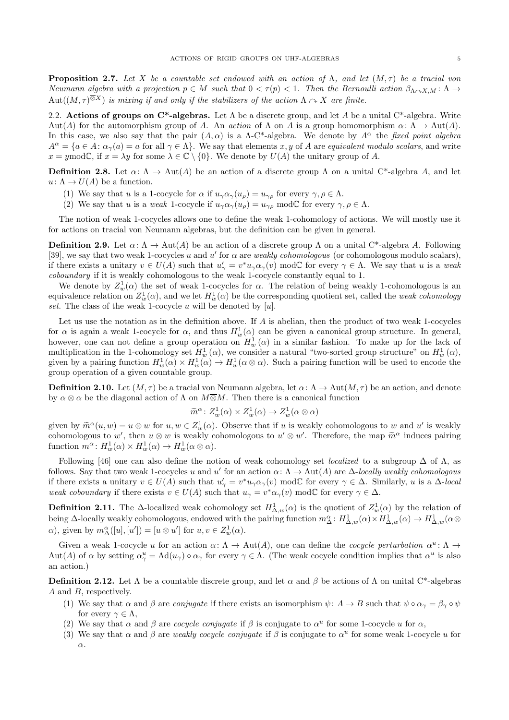<span id="page-4-3"></span>**Proposition 2.7.** Let X be a countable set endowed with an action of  $\Lambda$ , and let  $(M, \tau)$  be a tracial von Neumann algebra with a projection  $p \in M$  such that  $0 < \tau(p) < 1$ . Then the Bernoulli action  $\beta_{\Lambda \sim X,M} : \Lambda \to$  $\mathrm{Aut}((M,\tau)^{\overline{\otimes}X})$  is mixing if and only if the stabilizers of the action  $\Lambda \curvearrowright X$  are finite.

2.2. Actions of groups on C\*-algebras. Let  $\Lambda$  be a discrete group, and let A be a unital C\*-algebra. Write Aut(A) for the automorphism group of A. An action of  $\Lambda$  on A is a group homomorphism  $\alpha: \Lambda \to \text{Aut}(A)$ . In this case, we also say that the pair  $(A, \alpha)$  is a  $\Lambda$ -C<sup>\*</sup>-algebra. We denote by  $A^{\alpha}$  the fixed point algebra  $A^{\alpha} = \{a \in A : \alpha_{\gamma}(a) = a \text{ for all } \gamma \in \Lambda\}.$  We say that elements x, y of A are equivalent modulo scalars, and write  $x = y \mod \mathbb{C}$ , if  $x = \lambda y$  for some  $\lambda \in \mathbb{C} \setminus \{0\}$ . We denote by  $U(A)$  the unitary group of A.

**Definition 2.8.** Let  $\alpha: \Lambda \to \text{Aut}(A)$  be an action of a discrete group  $\Lambda$  on a unital C<sup>\*</sup>-algebra A, and let  $u: \Lambda \to U(A)$  be a function.

- (1) We say that u is a 1-cocycle for  $\alpha$  if  $u_{\gamma}\alpha_{\gamma}(u_{\rho}) = u_{\gamma\rho}$  for every  $\gamma, \rho \in \Lambda$ .
- (2) We say that u is a weak 1-cocycle if  $u_{\gamma}\alpha_{\gamma}(u_{\rho}) = u_{\gamma\rho} \mod \mathbb{C}$  for every  $\gamma, \rho \in \Lambda$ .

The notion of weak 1-cocycles allows one to define the weak 1-cohomology of actions. We will mostly use it for actions on tracial von Neumann algebras, but the definition can be given in general.

**Definition 2.9.** Let  $\alpha: \Lambda \to \text{Aut}(A)$  be an action of a discrete group  $\Lambda$  on a unital C\*-algebra A. Following [\[39\]](#page-23-1), we say that two weak 1-cocycles u and u' for  $\alpha$  are weakly cohomologous (or cohomologous modulo scalars), if there exists a unitary  $v \in U(A)$  such that  $u'_\gamma = v^* u_\gamma \alpha_\gamma(v) \mod \mathbb{C}$  for every  $\gamma \in \Lambda$ . We say that u is a weak coboundary if it is weakly cohomologous to the weak 1-cocycle constantly equal to 1.

We denote by  $Z_w^1(\alpha)$  the set of weak 1-cocycles for  $\alpha$ . The relation of being weakly 1-cohomologous is an equivalence relation on  $Z_w^1(\alpha)$ , and we let  $H_w^1(\alpha)$  be the corresponding quotient set, called the *weak cohomology* set. The class of the weak 1-cocycle u will be denoted by  $[u]$ .

Let us use the notation as in the definition above. If A is abelian, then the product of two weak 1-cocycles for  $\alpha$  is again a weak 1-cocycle for  $\alpha$ , and thus  $H_w^1(\alpha)$  can be given a canonical group structure. In general, however, one can not define a group operation on  $H_w^1(\alpha)$  in a similar fashion. To make up for the lack of multiplication in the 1-cohomology set  $H_w^1(\alpha)$ , we consider a natural "two-sorted group structure" on  $H_w^1(\alpha)$ , given by a pairing function  $H_w^1(\alpha) \times H_w^1(\alpha) \to H_w^1(\alpha \otimes \alpha)$ . Such a pairing function will be used to encode the group operation of a given countable group.

<span id="page-4-0"></span>**Definition 2.10.** Let  $(M, \tau)$  be a tracial von Neumann algebra, let  $\alpha \colon \Lambda \to \text{Aut}(M, \tau)$  be an action, and denote by  $\alpha \otimes \alpha$  be the diagonal action of  $\Lambda$  on  $M \overline{\otimes} M$ . Then there is a canonical function

$$
\widetilde{m}^{\alpha} \colon Z_w^1(\alpha) \times Z_w^1(\alpha) \to Z_w^1(\alpha \otimes \alpha)
$$

given by  $\widetilde{m}^{\alpha}(u, w) = u \otimes w$  for  $u, w \in Z_w^1(\alpha)$ . Observe that if u is weakly cohomologous to w and u' is weakly cohomologous to w', then  $u \otimes w$  is weakly cohomologous to  $u' \otimes w'$ . Therefore, the map  $\widetilde{m}^{\alpha}$  induces pairing function  $m^{\alpha}$ :  $H_w^1(\alpha) \times H_w^1(\alpha) \to H_w^1(\alpha \otimes \alpha)$ .

Following [\[46\]](#page-23-10) one can also define the notion of weak cohomology set *localized* to a subgroup  $\Delta$  of  $\Lambda$ , as follows. Say that two weak 1-cocycles u and u' for an action  $\alpha: \Lambda \to \text{Aut}(A)$  are  $\Delta$ -locally weakly cohomologous if there exists a unitary  $v \in U(A)$  such that  $u'_{\gamma} = v^* u_{\gamma} \alpha_{\gamma}(v) \mod \mathbb{C}$  for every  $\gamma \in \Delta$ . Similarly, u is a  $\Delta$ -local weak coboundary if there exists  $v \in U(A)$  such that  $u_{\gamma} = v^* \alpha_{\gamma}(v) \mod C$  for every  $\gamma \in \Delta$ .

<span id="page-4-2"></span>**Definition 2.11.** The  $\Delta$ -localized weak cohomology set  $H^1_{\Delta,w}(\alpha)$  is the quotient of  $Z^1_w(\alpha)$  by the relation of being  $\Delta$ -locally weakly cohomologous, endowed with the pairing function  $m^{\alpha}_{\Delta}$ :  $H^1_{\Delta,w}(\alpha) \times H^1_{\Delta,w}(\alpha) \to H^1_{\Delta,w}(\alpha)$  $\alpha$ ), given by  $m_{\Delta}^{\alpha}([u],[u']) = [u \otimes u']$  for  $u, v \in Z_w^1(\alpha)$ .

Given a weak 1-cocycle u for an action  $\alpha: \Lambda \to Aut(A)$ , one can define the *cocycle perturbation*  $\alpha^u: \Lambda \to$ Aut(A) of  $\alpha$  by setting  $\alpha_{\gamma}^{u} = \text{Ad}(u_{\gamma}) \circ \alpha_{\gamma}$  for every  $\gamma \in \Lambda$ . (The weak cocycle condition implies that  $\alpha^{u}$  is also an action.)

<span id="page-4-1"></span>**Definition 2.12.** Let Λ be a countable discrete group, and let  $\alpha$  and  $\beta$  be actions of Λ on unital C\*-algebras A and B, respectively.

- (1) We say that  $\alpha$  and  $\beta$  are *conjugate* if there exists an isomorphism  $\psi: A \to B$  such that  $\psi \circ \alpha_{\gamma} = \beta_{\gamma} \circ \psi$ for every  $\gamma \in \Lambda$ ,
- (2) We say that  $\alpha$  and  $\beta$  are *cocycle conjugate* if  $\beta$  is conjugate to  $\alpha^u$  for some 1-cocycle u for  $\alpha$ ,
- (3) We say that  $\alpha$  and  $\beta$  are weakly cocycle conjugate if  $\beta$  is conjugate to  $\alpha^u$  for some weak 1-cocycle u for α.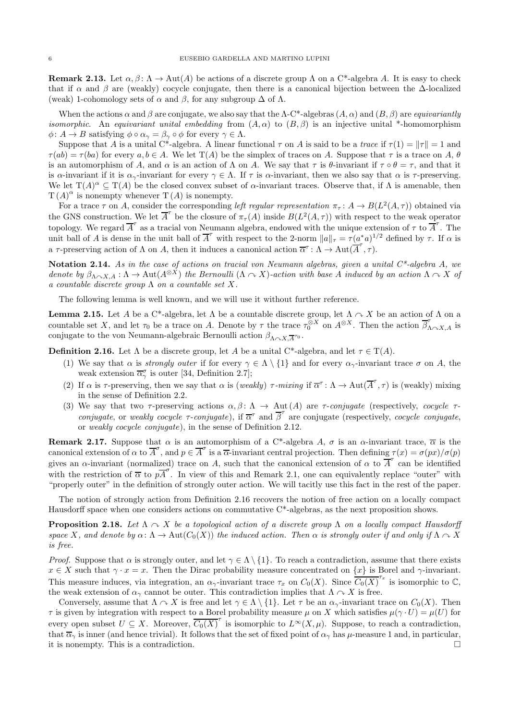**Remark 2.13.** Let  $\alpha, \beta : \Lambda \to \text{Aut}(A)$  be actions of a discrete group  $\Lambda$  on a C<sup>\*</sup>-algebra A. It is easy to check that if  $\alpha$  and  $\beta$  are (weakly) cocycle conjugate, then there is a canonical bijection between the  $\Delta$ -localized (weak) 1-cohomology sets of  $\alpha$  and  $\beta$ , for any subgroup  $\Delta$  of  $\Lambda$ .

When the actions  $\alpha$  and  $\beta$  are conjugate, we also say that the  $\Lambda$ -C\*-algebras  $(A, \alpha)$  and  $(B, \beta)$  are *equivariantly isomorphic.* An equivariant unital embedding from  $(A, \alpha)$  to  $(B, \beta)$  is an injective unital \*-homomorphism  $\phi: A \to B$  satisfying  $\phi \circ \alpha_{\gamma} = \beta_{\gamma} \circ \phi$  for every  $\gamma \in \Lambda$ .

Suppose that A is a unital C\*-algebra. A linear functional  $\tau$  on A is said to be a trace if  $\tau(1) = \|\tau\| = 1$  and  $\tau(ab) = \tau(ba)$  for every  $a, b \in A$ . We let  $T(A)$  be the simplex of traces on A. Suppose that  $\tau$  is a trace on A,  $\theta$ is an automorphism of A, and  $\alpha$  is an action of  $\Lambda$  on A. We say that  $\tau$  is  $\theta$ -invariant if  $\tau \circ \theta = \tau$ , and that it is  $\alpha$ -invariant if it is  $\alpha_{\gamma}$ -invariant for every  $\gamma \in \Lambda$ . If  $\tau$  is  $\alpha$ -invariant, then we also say that  $\alpha$  is  $\tau$ -preserving. We let  $T(A)^{\alpha} \subseteq T(A)$  be the closed convex subset of  $\alpha$ -invariant traces. Observe that, if  $\Lambda$  is amenable, then  $T(A)^{\alpha}$  is nonempty whenever  $T(A)$  is nonempty.

For a trace  $\tau$  on A, consider the corresponding *left regular representation*  $\pi_{\tau}: A \to B(L^2(A, \tau))$  obtained via the GNS construction. We let  $\overline{A}^{\tau}$  be the closure of  $\pi_{\tau}(A)$  inside  $B(L^2(A,\tau))$  with respect to the weak operator topology. We regard  $\overline{A}^{\tau}$  as a tracial von Neumann algebra, endowed with the unique extension of  $\tau$  to  $\overline{A}^{\tau}$ . The unit ball of A is dense in the unit ball of  $\overline{A}^{\tau}$  with respect to the 2-norm  $||a||_{\tau} = \tau(a^*a)^{1/2}$  defined by  $\tau$ . If  $\alpha$  is a  $\tau$ -preserving action of  $\Lambda$  on  $A$ , then it induces a canonical action  $\overline{\alpha}^{\tau}$ :  $\Lambda \to \text{Aut}(\overline{A}^{\tau}, \tau)$ .

<span id="page-5-1"></span>Notation 2.14. As in the case of actions on tracial von Neumann algebras, given a unital  $C^*$ -algebra A, we denote by  $\beta_{\Lambda \cap X,A} : \Lambda \to \text{Aut}(A^{\otimes X})$  the Bernoulli  $(\Lambda \cap X)$ -action with base A induced by an action  $\Lambda \cap X$  of a countable discrete group  $\Lambda$  on a countable set X.

The following lemma is well known, and we will use it without further reference.

**Lemma 2.15.** Let A be a C<sup>\*</sup>-algebra, let  $\Lambda$  be a countable discrete group, let  $\Lambda \cap X$  be an action of  $\Lambda$  on a countable set X, and let  $\tau_0$  be a trace on A. Denote by  $\tau$  the trace  $\sigma_0^{\otimes X}$  on  $A^{\otimes X}$ . Then the action  $\overline{\beta}_{\Lambda \curvearrowright X,A}^{\tau}$  is conjugate to the von Neumann-algebraic Bernoulli action  $\beta_{\Lambda \curvearrowright X, \overline{A}^{\tau_0}}$ .

<span id="page-5-0"></span>**Definition 2.16.** Let  $\Lambda$  be a discrete group, let A be a unital C<sup>\*</sup>-algebra, and let  $\tau \in T(A)$ .

- (1) We say that  $\alpha$  is *strongly outer* if for every  $\gamma \in \Lambda \setminus \{1\}$  and for every  $\alpha_{\gamma}$ -invariant trace  $\sigma$  on A, the weak extension  $\overline{\alpha}_{\gamma}^{\sigma}$  is outer [\[34,](#page-23-6) Definition 2.7];
- (2) If  $\alpha$  is  $\tau$ -preserving, then we say that  $\alpha$  is (weakly)  $\tau$ -mixing if  $\overline{\alpha}^{\tau}$ :  $\Lambda \to \text{Aut}(\overline{A}^{\tau}, \tau)$  is (weakly) mixing in the sense of Definition [2.2.](#page-3-1)
- (3) We say that two  $\tau$ -preserving actions  $\alpha, \beta \colon \Lambda \to \text{Aut}(A)$  are  $\tau$ -conjugate (respectively, cocycle  $\tau$ conjugate, or weakly cocycle  $\tau$ -conjugate), if  $\overline{\alpha}^{\tau}$  and  $\overline{\beta}^{\tau}$  are conjugate (respectively, cocycle conjugate, or weakly cocycle conjugate), in the sense of Definition [2.12.](#page-4-1)

**Remark 2.17.** Suppose that  $\alpha$  is an automorphism of a C<sup>\*</sup>-algebra A,  $\sigma$  is an  $\alpha$ -invariant trace,  $\overline{\alpha}$  is the canonical extension of  $\alpha$  to  $\overline{A}^{\sigma}$ , and  $p \in \overline{A}^{\sigma}$  is a  $\overline{\alpha}$ -invariant central projection. Then defining  $\tau(x) = \sigma(px)/\sigma(p)$ gives an  $\alpha$ -invariant (normalized) trace on A, such that the canonical extension of  $\alpha$  to  $\overline{A}^{\tau}$  can be identified with the restriction of  $\bar{\alpha}$  to  $p\bar{A}^{\sigma}$ . In view of this and Remark [2.1,](#page-3-0) one can equivalently replace "outer" with "properly outer" in the definition of strongly outer action. We will tacitly use this fact in the rest of the paper.

The notion of strongly action from Definition [2.16](#page-5-0) recovers the notion of free action on a locally compact Hausdorff space when one considers actions on commutative C\*-algebras, as the next proposition shows.

**Proposition 2.18.** Let  $\Lambda \cap X$  be a topological action of a discrete group  $\Lambda$  on a locally compact Hausdorff space X, and denote by  $\alpha: \Lambda \to \text{Aut}(C_0(X))$  the induced action. Then  $\alpha$  is strongly outer if and only if  $\Lambda \sim X$ is free.

*Proof.* Suppose that  $\alpha$  is strongly outer, and let  $\gamma \in \Lambda \setminus \{1\}$ . To reach a contradiction, assume that there exists  $x \in X$  such that  $\gamma \cdot x = x$ . Then the Dirac probability measure concentrated on  $\{x\}$  is Borel and  $\gamma$ -invariant. This measure induces, via integration, an  $\alpha_{\gamma}$ -invariant trace  $\tau_x$  on  $C_0(X)$ . Since  $\overline{C_0(X)}^{\tau_x}$  is isomorphic to  $\mathbb{C}$ , the weak extension of  $\alpha_{\gamma}$  cannot be outer. This contradiction implies that  $\Lambda \cap X$  is free.

Conversely, assume that  $\Lambda \curvearrowright X$  is free and let  $\gamma \in \Lambda \setminus \{1\}$ . Let  $\tau$  be an  $\alpha_{\gamma}$ -invariant trace on  $C_0(X)$ . Then  $\tau$  is given by integration with respect to a Borel probability measure  $\mu$  on X which satisfies  $\mu(\gamma \cdot U) = \mu(U)$  for every open subset  $U \subseteq X$ . Moreover,  $\overline{C_0(X)}^{\tau}$  is isomorphic to  $L^{\infty}(X,\mu)$ . Suppose, to reach a contradiction, that  $\overline{\alpha}_{\gamma}$  is inner (and hence trivial). It follows that the set of fixed point of  $\alpha_{\gamma}$  has  $\mu$ -measure 1 and, in particular, it is nonempty. This is a contradiction.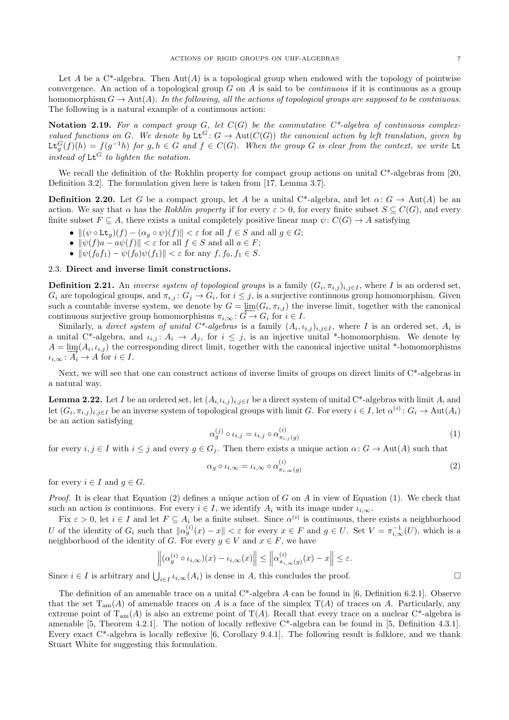Let A be a  $C^*$ -algebra. Then Aut $(A)$  is a topological group when endowed with the topology of pointwise convergence. An action of a topological group  $G$  on  $A$  is said to be *continuous* if it is continuous as a group homomorphism  $G \to \text{Aut}(A)$ . In the following, all the actions of topological groups are supposed to be continuous. The following is a natural example of a continuous action:

Notation 2.19. For a compact group  $G$ , let  $C(G)$  be the commutative  $C^*$ -algebra of continuous complexvalued functions on G. We denote by  $\mathtt{Lt}^G: G \to \mathrm{Aut}(C(G))$  the canonical action by left translation, given by  $\mathsf{Lt}_g^G(f)(h) = f(g^{-1}h)$  for  $g, h \in G$  and  $f \in C(G)$ . When the group G is clear from the context, we write Lt instead of  $\mathsf{Lt}^G$  to lighten the notation.

We recall the definition of the Rokhlin property for compact group actions on unital  $C^*$ -algebras from [\[20,](#page-22-13) Definition 3.2]. The formulation given here is taken from [\[17,](#page-22-14) Lemma 3.7].

**Definition 2.20.** Let G be a compact group, let A be a unital C\*-algebra, and let  $\alpha: G \to \text{Aut}(A)$  be an action. We say that  $\alpha$  has the Rokhlin property if for every  $\varepsilon > 0$ , for every finite subset  $S \subseteq C(G)$ , and every finite subset  $F \subseteq A$ , there exists a unital completely positive linear map  $\psi: C(G) \to A$  satisfying

- $\|(\psi \circ \mathsf{Lt}_g)(f) (\alpha_g \circ \psi)(f)\| < \varepsilon$  for all  $f \in S$  and all  $g \in G$ ;
- $\|\psi(f)a a\psi(f)\| < \varepsilon$  for all  $f \in S$  and all  $a \in F$ ;
- $\|\psi(f_0f_1) \psi(f_0)\psi(f_1)\| < \varepsilon$  for any  $f, f_0, f_1 \in S$ .

# 2.3. Direct and inverse limit constructions.

**Definition 2.21.** An *inverse system of topological groups* is a family  $(G_i, \pi_{i,j})_{i,j\in I}$ , where I is an ordered set,  $G_i$  are topological groups, and  $\pi_{i,j}$ :  $G_j \to G_i$ , for  $i \leq j$ , is a surjective continuous group homomorphism. Given such a countable inverse system, we denote by  $G = \underline{\lim}(G_i, \pi_{i,j})$  the inverse limit, together with the canonical continuous surjective group homomorphisms  $\pi_{i,\infty} : G \to G_i$  for  $i \in I$ .

Similarly, a *direct system of unital*  $C^*$ -*algebras* is a family  $(A_i, \iota_{i,j})_{i,j\in I}$ , where I is an ordered set,  $A_i$  is a unital C\*-algebra, and  $\iota_{i,j} : A_i \to A_j$ , for  $i \leq j$ , is an injective unital \*-homomorphism. We denote by  $A = \lim_{\substack{\longrightarrow \longrightarrow}} (A_i, \iota_{i,j})$  the corresponding direct limit, together with the canonical injective unital \*-homomorphisms  $\iota_{i,\infty} : A_i' \to A$  for  $i \in I$ .

Next, we will see that one can construct actions of inverse limits of groups on direct limits of C\*-algebras in a natural way.

<span id="page-6-2"></span>**Lemma 2.22.** Let I be an ordered set, let  $(A_i, \iota_{i,j})_{i,j\in I}$  be a direct system of unital C\*-algebras with limit A, and let  $(G_i, \pi_{i,j})_{i,j\in I}$  be an inverse system of topological groups with limit G. For every  $i \in I$ , let  $\alpha^{(i)}: G_i \to \text{Aut}(A_i)$ be an action satisfying

<span id="page-6-1"></span>
$$
\alpha_g^{(j)} \circ \iota_{i,j} = \iota_{i,j} \circ \alpha_{\pi_{i,j}(g)}^{(i)} \tag{1}
$$

for every  $i, j \in I$  with  $i \leq j$  and every  $g \in G_j$ . Then there exists a unique action  $\alpha: G \to \text{Aut}(A)$  such that

<span id="page-6-0"></span>
$$
\alpha_g \circ \iota_{i,\infty} = \iota_{i,\infty} \circ \alpha_{\pi_{i,\infty}(g)}^{(i)} \tag{2}
$$

for every  $i \in I$  and  $g \in G$ .

*Proof.* It is clear that Equation [\(2\)](#page-6-0) defines a unique action of G on A in view of Equation [\(1\)](#page-6-1). We check that such an action is continuous. For every  $i \in I$ , we identify  $A_i$  with its image under  $\iota_{i,\infty}$ .

Fix  $\varepsilon > 0$ , let  $i \in I$  and let  $F \subseteq A_i$  be a finite subset. Since  $\alpha^{(i)}$  is continuous, there exists a neighborhood U of the identity of  $G_i$  such that  $\|\alpha_g^{(i)}(x) - x\| < \varepsilon$  for every  $x \in F$  and  $g \in U$ . Set  $V = \pi_{i,\infty}^{-1}(U)$ , which is a neighborhood of the identity of G. For every  $g \in V$  and  $x \in F$ , we have

$$
\left\| (\alpha_g^{(i)} \circ \iota_{i,\infty})(x) - \iota_{i,\infty}(x) \right\| \le \left\| \alpha_{\pi_{i,\infty}(g)}^{(i)}(x) - x \right\| \le \varepsilon.
$$

Since  $i \in I$  is arbitrary and  $\bigcup_{i \in I} \iota_{i,\infty}(A_i)$  is dense in A, this concludes the proof.

The definition of an amenable trace on a unital  $C^*$ -algebra A can be found in [\[6,](#page-22-15) Definition 6.2.1]. Observe that the set  $T_{am}(A)$  of amenable traces on A is a face of the simplex  $T(A)$  of traces on A. Particularly, any extreme point of  $T_{am}(A)$  is also an extreme point of  $T(A)$ . Recall that every trace on a nuclear C\*-algebra is amenable [\[5,](#page-22-16) Theorem 4.2.1]. The notion of locally reflexive C\*-algebra can be found in [\[5,](#page-22-16) Definition 4.3.1]. Every exact C\*-algebra is locally reflexive [\[6,](#page-22-15) Corollary 9.4.1]. The following result is folklore, and we thank Stuart White for suggesting this formulation.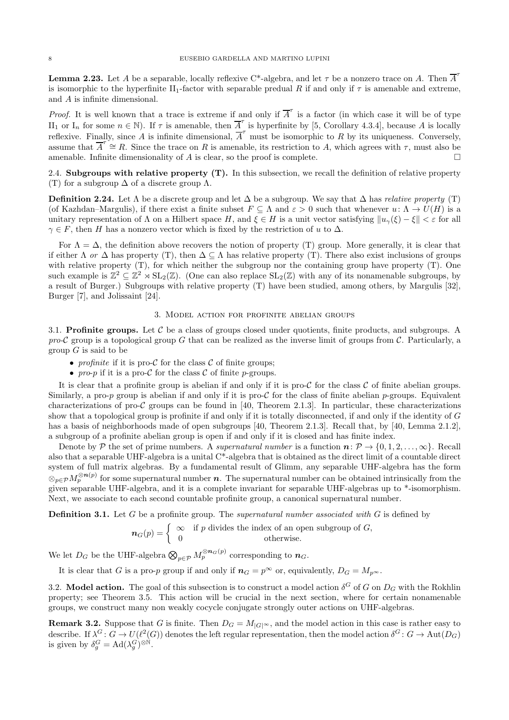<span id="page-7-1"></span>**Lemma 2.23.** Let A be a separable, locally reflexive C\*-algebra, and let  $\tau$  be a nonzero trace on A. Then  $\overline{A}^{\tau}$ is isomorphic to the hyperfinite II<sub>1</sub>-factor with separable predual R if and only if  $\tau$  is amenable and extreme, and A is infinite dimensional.

*Proof.* It is well known that a trace is extreme if and only if  $\overline{A}^{\tau}$  is a factor (in which case it will be of type II<sub>1</sub> or I<sub>n</sub> for some  $n \in \mathbb{N}$ ). If  $\tau$  is amenable, then  $\overline{A}^{\tau}$  is hyperfinite by [\[5,](#page-22-16) Corollary 4.3.4], because A is locally reflexive. Finally, since A is infinite dimensional,  $\overline{A}^{\tau}$  must be isomorphic to R by its uniqueness. Conversely, assume that  $\overline{A}^{\tau} \cong R$ . Since the trace on R is amenable, its restriction to A, which agrees with  $\tau$ , must also be amenable. Infinite dimensionality of A is clear, so the proof is complete.

2.4. Subgroups with relative property  $(T)$ . In this subsection, we recall the definition of relative property (T) for a subgroup  $\Delta$  of a discrete group  $\Lambda$ .

**Definition 2.24.** Let  $\Lambda$  be a discrete group and let  $\Delta$  be a subgroup. We say that  $\Delta$  has relative property (T) (of Kazhdan–Margulis), if there exist a finite subset  $F \subseteq \Lambda$  and  $\varepsilon > 0$  such that whenever  $u: \Lambda \to U(H)$  is a unitary representation of  $\Lambda$  on a Hilbert space H, and  $\xi \in H$  is a unit vector satisfying  $||u_{\gamma}(\xi) - \xi|| < \varepsilon$  for all  $\gamma \in F$ , then H has a nonzero vector which is fixed by the restriction of u to  $\Delta$ .

For  $\Lambda = \Delta$ , the definition above recovers the notion of property (T) group. More generally, it is clear that if either  $\Lambda$  or  $\Delta$  has property (T), then  $\Delta \subseteq \Lambda$  has relative property (T). There also exist inclusions of groups with relative property (T), for which neither the subgroup nor the containing group have property (T). One such example is  $\mathbb{Z}^2 \subseteq \mathbb{Z}^2 \rtimes SL_2(\mathbb{Z})$ . (One can also replace  $SL_2(\mathbb{Z})$  with any of its nonamenable subgroups, by a result of Burger.) Subgroups with relative property (T) have been studied, among others, by Margulis [\[32\]](#page-23-14), Burger [\[7\]](#page-22-17), and Jolissaint [\[24\]](#page-22-18).

### 3. Model action for profinite abelian groups

<span id="page-7-0"></span>3.1. **Profinite groups.** Let  $\mathcal{C}$  be a class of groups closed under quotients, finite products, and subgroups. A pro-C group is a topological group G that can be realized as the inverse limit of groups from C. Particularly, a group  $G$  is said to be

- profinite if it is pro- $\mathcal C$  for the class  $\mathcal C$  of finite groups;
- pro-p if it is a pro-C for the class C of finite p-groups.

It is clear that a profinite group is abelian if and only if it is pro- $\mathcal C$  for the class  $\mathcal C$  of finite abelian groups. Similarly, a pro-p group is abelian if and only if it is pro-C for the class of finite abelian p-groups. Equivalent characterizations of pro-C groups can be found in [\[40,](#page-23-15) Theorem 2.1.3]. In particular, these characterizations show that a topological group is profinite if and only if it is totally disconnected, if and only if the identity of G has a basis of neighborhoods made of open subgroups [\[40,](#page-23-15) Theorem 2.1.3]. Recall that, by [40, Lemma 2.1.2], a subgroup of a profinite abelian group is open if and only if it is closed and has finite index.

Denote by P the set of prime numbers. A supernatural number is a function  $n: \mathcal{P} \to \{0, 1, 2, \ldots, \infty\}$ . Recall also that a separable UHF-algebra is a unital  $C^*$ -algebra that is obtained as the direct limit of a countable direct system of full matrix algebras. By a fundamental result of Glimm, any separable UHF-algebra has the form  $\otimes_{p\in\mathcal{P}} M_p^{\otimes n(p)}$  for some supernatural number n. The supernatural number can be obtained intrinsically from the given separable UHF-algebra, and it is a complete invariant for separable UHF-algebras up to \*-isomorphism. Next, we associate to each second countable profinite group, a canonical supernatural number.

<span id="page-7-3"></span>**Definition 3.1.** Let  $G$  be a profinite group. The supernatural number associated with  $G$  is defined by

$$
\boldsymbol{n}_G(p) = \begin{cases} \infty & \text{if } p \text{ divides the index of an open subgroup of } G, \\ 0 & \text{otherwise.} \end{cases}
$$

We let  $D_G$  be the UHF-algebra  $\bigotimes_{p \in \mathcal{P}} M_p^{\otimes n_G(p)}$  corresponding to  $n_G$ .

It is clear that G is a pro-p group if and only if  $n_G = p^{\infty}$  or, equivalently,  $D_G = M_{p^{\infty}}$ .

3.2. Model action. The goal of this subsection is to construct a model action  $\delta^G$  of G on  $D_G$  with the Rokhlin property; see Theorem [3.5.](#page-8-0) This action will be crucial in the next section, where for certain nonamenable groups, we construct many non weakly cocycle conjugate strongly outer actions on UHF-algebras.

<span id="page-7-2"></span>**Remark 3.2.** Suppose that G is finite. Then  $D_G = M_{|G|^\infty}$ , and the model action in this case is rather easy to describe. If  $\lambda^G\colon G\to U(\ell^2(G))$  denotes the left regular representation, then the model action  $\delta^G\colon G\to \text{Aut}(D_G)$ is given by  $\delta_g^G = \text{Ad}(\lambda_g^G)^{\otimes \mathbb{N}}$ .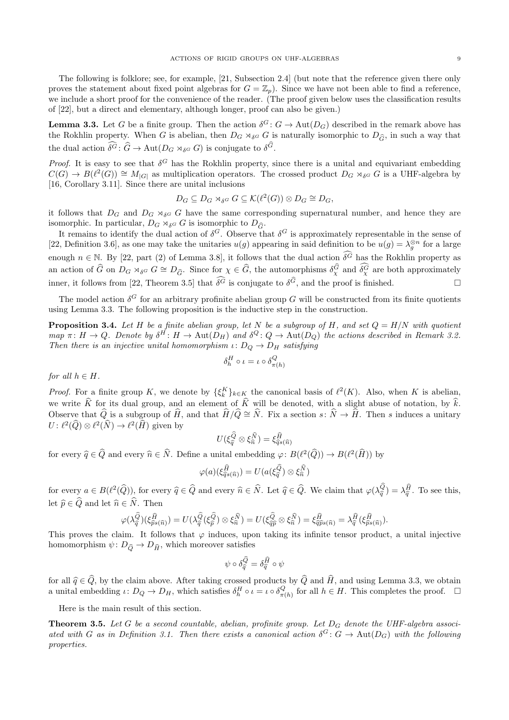The following is folklore; see, for example, [\[21,](#page-22-6) Subsection 2.4] (but note that the reference given there only proves the statement about fixed point algebras for  $G = \mathbb{Z}_p$ . Since we have not been able to find a reference, we include a short proof for the convenience of the reader. (The proof given below uses the classification results of [\[22\]](#page-22-19), but a direct and elementary, although longer, proof can also be given.)

<span id="page-8-1"></span>**Lemma 3.3.** Let G be a finite group. Then the action  $\delta^G: G \to \text{Aut}(D_G)$  described in the remark above has the Rokhlin property. When G is abelian, then  $D_G \rtimes_{\delta} G$  is naturally isomorphic to  $D_{\widehat{G}}$ , in such a way that the dual action  $\widehat{\delta^G}$ :  $\widehat{G} \to \text{Aut}(D_G \rtimes_{\delta^G} G)$  is conjugate to  $\delta^{\widehat{G}}$ .

*Proof.* It is easy to see that  $\delta^G$  has the Rokhlin property, since there is a unital and equivariant embedding  $C(G) \to B(\ell^2(G)) \cong M_{|G|}$  as multiplication operators. The crossed product  $D_G \rtimes_{\delta^G} G$  is a UHF-algebra by [\[16,](#page-22-20) Corollary 3.11]. Since there are unital inclusions

$$
D_G \subseteq D_G \rtimes_{\delta^G} G \subseteq \mathcal{K}(\ell^2(G)) \otimes D_G \cong D_G,
$$

it follows that  $D_G$  and  $D_G \rtimes_{\delta} G$  have the same corresponding supernatural number, and hence they are isomorphic. In particular,  $D_G \rtimes_{\delta} G$  is isomorphic to  $D_{\widehat{G}}$ .

It remains to identify the dual action of  $\delta^G$ . Observe that  $\delta^G$  is approximately representable in the sense of [\[22,](#page-22-19) Definition 3.6], as one may take the unitaries  $u(g)$  appearing in said definition to be  $u(g) = \lambda_g^{\otimes n}$  for a large enough  $n \in \mathbb{N}$ . By [\[22,](#page-22-19) part (2) of Lemma 3.8], it follows that the dual action  $\widehat{\delta^G}$  has the Rokhlin property as an action of  $\widehat{G}$  on  $D_G \rtimes_{\delta} G \cong D_{\widehat{G}}$ . Since for  $\chi \in \widehat{G}$ , the automorphisms  $\delta_{\chi}^{\widehat{G}}$  and  $\widehat{\delta}_{\chi}^{\widehat{G}}$  are both approximately inner, it follows from [\[22,](#page-22-19) Theorem 3.5] that  $\widehat{\delta^G}$  is conjugate to  $\delta^{\widehat{G}}$ , and the proof is finished.

The model action  $\delta^G$  for an arbitrary profinite abelian group G will be constructed from its finite quotients using Lemma [3.3.](#page-8-1) The following proposition is the inductive step in the construction.

<span id="page-8-2"></span>**Proposition 3.4.** Let H be a finite abelian group, let N be a subgroup of H, and set  $Q = H/N$  with quotient map  $\pi: H \to Q$ . Denote by  $\delta^H: H \to \text{Aut}(D_H)$  and  $\delta^Q: Q \to \text{Aut}(D_Q)$  the actions described in Remark [3.2.](#page-7-2) Then there is an injective unital homomorphism  $\iota: D_Q \to D_H$  satisfying

$$
\delta_h^H \circ \iota = \iota \circ \delta_{\pi(h)}^Q
$$

for all  $h \in H$ .

*Proof.* For a finite group K, we denote by  $\{\xi_k^K\}_{k\in K}$  the canonical basis of  $\ell^2(K)$ . Also, when K is abelian, we write  $\hat{K}$  for its dual group, and an element of  $\hat{K}$  will be denoted, with a slight abuse of notation, by  $\hat{k}$ . Observe that  $\hat{Q}$  is a subgroup of  $\hat{H}$ , and that  $\hat{H}/\hat{Q} \cong \hat{N}$ . Fix a section s:  $\hat{N} \to \hat{H}$ . Then s induces a unitary  $U: \ell^2(\widehat{Q}) \otimes \ell^2(\widehat{N}) \to \ell^2(\widehat{H})$  given by

$$
U(\xi_{\widehat{q}}^{\widehat{Q}}\otimes\xi_{\widehat{n}}^{\widehat{N}})=\xi_{\widehat{q}s(\widehat{n})}^{\widehat{H}}
$$

for every  $\hat{q} \in \hat{Q}$  and every  $\hat{n} \in \hat{N}$ . Define a unital embedding  $\varphi: B(\ell^2(\hat{Q})) \to B(\ell^2(\hat{H}))$  by

$$
\varphi(a)(\xi_{\widehat{q}s(\widehat{n})}^{\widehat{H}}) = U(a(\xi_{\widehat{q}}^{\widehat{Q}}) \otimes \xi_{\widehat{n}}^{\widehat{N}})
$$

for every  $a \in B(\ell^2(\widehat{Q}))$ , for every  $\widehat{q} \in \widehat{Q}$  and every  $\widehat{n} \in \widehat{N}$ . Let  $\widehat{q} \in \widehat{Q}$ . We claim that  $\varphi(\lambda_{\widehat{q}}^{\widehat{Q}}) = \lambda_{\widehat{q}}^{\widehat{H}}$ . To see this, let  $\widehat{p} \in \widehat{Q}$  and let  $\widehat{n} \in \widehat{N}$ . Then

$$
\varphi(\lambda_{\widehat{q}}^{\widehat{Q}})(\xi_{\widehat{p}s(\widehat{n})}^{\widehat{H}})=U(\lambda_{\widehat{q}}^{\widehat{Q}}(\xi_{\widehat{p}}^{\widehat{Q}})\otimes\xi_{\widehat{n}}^{\widehat{N}})=U(\xi_{\widehat{q}\widehat{p}}^{\widehat{Q}}\otimes\xi_{\widehat{n}}^{\widehat{N}})=\xi_{\widehat{q}\widehat{p}s(\widehat{n})}^{\widehat{H}}=\lambda_{\widehat{q}}^{\widehat{H}}(\xi_{\widehat{p}s(\widehat{n})}^{\widehat{H}}).
$$

This proves the claim. It follows that  $\varphi$  induces, upon taking its infinite tensor product, a unital injective homomorphism  $\psi: D_{\widehat{\theta}} \to D_{\widehat{H}}$ , which moreover satisfies

$$
\psi\circ\delta_{\widehat{q}}^{\widehat{Q}}=\delta_{\widehat{q}}^{\widehat{H}}\circ\psi
$$

for all  $\hat{q} \in \hat{Q}$ , by the claim above. After taking crossed products by  $\hat{Q}$  and  $\hat{H}$ , and using Lemma [3.3,](#page-8-1) we obtain a unital embedding  $\iota: D_Q \to D_H$ , which satisfies  $\delta_h^H \circ \iota = \iota \circ \delta_{\pi(h)}^Q$  $\binom{Q}{\pi(h)}$  for all  $h \in H$ . This completes the proof.  $\Box$ 

Here is the main result of this section.

<span id="page-8-0"></span>**Theorem 3.5.** Let G be a second countable, abelian, profinite group. Let  $D_G$  denote the UHF-algebra associ-ated with G as in Definition [3.1.](#page-7-3) Then there exists a canonical action  $\delta^G: G \to \text{Aut}(D_G)$  with the following properties.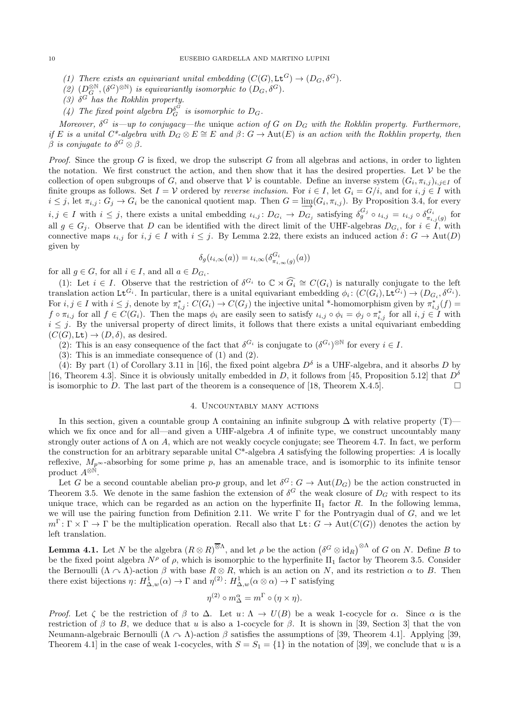- (1) There exists an equivariant unital embedding  $(C(G), L^G) \to (D_G, \delta^G)$ .
- $(2)$   $(D_G^{\otimes N}, (\delta^G)^{\otimes N})$  is equivariantly isomorphic to  $(D_G, \delta^G)$ .
- (3)  $\delta^G$  has the Rokhlin property.
- (4) The fixed point algebra  $D_G^{\delta^G}$  is isomorphic to  $D_G$ .

Moreover,  $\delta^G$  is—up to conjugacy—the unique action of G on  $D_G$  with the Rokhlin property. Furthermore, if E is a unital C\*-algebra with  $D_G \otimes E \cong E$  and  $\beta: G \to \text{Aut}(E)$  is an action with the Rokhlin property, then  $\beta$  is conjugate to  $\delta^G\otimes \beta$ .

*Proof.* Since the group G is fixed, we drop the subscript G from all algebras and actions, in order to lighten the notation. We first construct the action, and then show that it has the desired properties. Let  $\mathcal V$  be the collection of open subgroups of G, and observe that V is countable. Define an inverse system  $(G_i, \pi_{i,j})_{i,j\in I}$  of finite groups as follows. Set  $I = V$  ordered by *reverse inclusion*. For  $i \in I$ , let  $G_i = G/i$ , and for  $i, j \in I$  with  $i \leq j$ , let  $\pi_{i,j} : G_j \to G_i$  be the canonical quotient map. Then  $G = \varinjlim(G_i, \pi_{i,j})$ . By Proposition [3.4,](#page-8-2) for every  $i, j \in I$  with  $i \leq j$ , there exists a unital embedding  $\iota_{i,j} \colon D_{G_i} \to D_{G_j}$  satisfying  $\delta_g^{G_j} \circ \iota_{i,j} = \iota_{i,j} \circ \delta_{\pi_{i,j}(g)}^{G_i}$  for all  $g \in G_j$ . Observe that D can be identified with the direct limit of the UHF-algebras  $D_{G_i}$ , for  $i \in I$ , with connective maps  $\iota_{i,j}$  for  $i, j \in I$  with  $i \leq j$ . By Lemma [2.22,](#page-6-2) there exists an induced action  $\delta: G \to \text{Aut}(D)$ given by

$$
\delta_g(\iota_{i,\infty}(a)) = \iota_{i,\infty}(\delta^{G_i}_{\pi_{i,\infty}(g)}(a))
$$

for all  $g \in G$ , for all  $i \in I$ , and all  $a \in D_{G_i}$ .

(1): Let  $i \in I$ . Observe that the restriction of  $\delta^{G_i}$  to  $\mathbb{C} \rtimes \widehat{G_i} \cong C(G_i)$  is naturally conjugate to the left translation action Lt<sup>G<sub>i</sub></sup>. In particular, there is a unital equivariant embedding  $\phi_i: (C(G_i), L \mathbf{t}^{G_i}) \to (D_{G_i}, \delta^{G_i})$ . For  $i, j \in I$  with  $i \leq j$ , denote by  $\pi_{i,j}^* : C(G_i) \to C(G_j)$  the injective unital \*-homomorphism given by  $\pi_{i,j}^*(f) =$  $f \circ \pi_{i,j}$  for all  $f \in C(G_i)$ . Then the maps  $\phi_i$  are easily seen to satisfy  $\iota_{i,j} \circ \phi_i = \phi_j \circ \pi_{i,j}^*$  for all  $i, j \in I$  with  $i \leq j$ . By the universal property of direct limits, it follows that there exists a unital equivariant embedding  $(C(G), \text{Lt}) \to (D, \delta)$ , as desired.

- (2): This is an easy consequence of the fact that  $\delta^{G_i}$  is conjugate to  $(\delta^{G_i})^{\otimes \mathbb{N}}$  for every  $i \in I$ .
- (3): This is an immediate consequence of (1) and (2).

(4): By part (1) of Corollary 3.11 in [\[16\]](#page-22-20), the fixed point algebra  $D^{\delta}$  is a UHF-algebra, and it absorbs D by [\[16,](#page-22-20) Theorem 4.3]. Since it is obviously unitally embedded in D, it follows from [\[45,](#page-23-16) Proposition 5.12] that  $D^{\delta}$ is isomorphic to D. The last part of the theorem is a consequence of [\[18,](#page-22-21) Theorem X.4.5].

# 4. Uncountably many actions

<span id="page-9-1"></span>In this section, given a countable group  $\Lambda$  containing an infinite subgroup  $\Delta$  with relative property (T) which we fix once and for all—and given a UHF-algebra  $A$  of infinite type, we construct uncountably many strongly outer actions of  $\Lambda$  on A, which are not weakly cocycle conjugate; see Theorem [4.7.](#page-15-1) In fact, we perform the construction for an arbitrary separable unital  $C^*$ -algebra A satisfying the following properties: A is locally reflexive,  $M_{p^{\infty}}$ -absorbing for some prime p, has an amenable trace, and is isomorphic to its infinite tensor product  $A^{\otimes \bar{\mathbb{N}}}$ .

Let G be a second countable abelian pro-p group, and let  $\delta^G: G \to \text{Aut}(D_G)$  be the action constructed in Theorem [3.5.](#page-8-0) We denote in the same fashion the extension of  $\delta^G$  the weak closure of  $D_G$  with respect to its unique trace, which can be regarded as an action on the hyperfinite  $II_1$  factor R. In the following lemma, we will use the pairing function from Definition [2.11.](#page-4-2) We write  $\Gamma$  for the Pontryagin dual of G, and we let  $m^{\Gamma} \colon \Gamma \times \Gamma \to \Gamma$  be the multiplication operation. Recall also that Lt:  $G \to \text{Aut}(C(G))$  denotes the action by left translation.

<span id="page-9-0"></span>**Lemma 4.1.** Let N be the algebra  $(R \otimes R)^{\overline{\otimes} \Lambda}$ , and let  $\rho$  be the action  $(\delta^G \otimes \mathrm{id}_R)^{\otimes \Lambda}$  of G on N. Define B to be the fixed point algebra  $N^{\rho}$  of  $\rho$ , which is isomorphic to the hyperfinite II<sub>1</sub> factor by Theorem [3.5.](#page-8-0) Consider the Bernoulli  $(\Lambda \cap \Lambda)$ -action  $\beta$  with base  $R \otimes R$ , which is an action on N, and its restriction  $\alpha$  to B. Then there exist bijections  $\eta: H^1_{\Delta,w}(\alpha) \to \Gamma$  and  $\eta^{(2)}: H^1_{\Delta,w}(\alpha \otimes \alpha) \to \Gamma$  satisfying

$$
\eta^{(2)} \circ m_{\Delta}^{\alpha} = m^{\Gamma} \circ (\eta \times \eta).
$$

*Proof.* Let  $\zeta$  be the restriction of  $\beta$  to  $\Delta$ . Let  $u: \Lambda \to U(B)$  be a weak 1-cocycle for  $\alpha$ . Since  $\alpha$  is the restriction of  $\beta$  to B, we deduce that u is also a 1-cocycle for  $\beta$ . It is shown in [\[39,](#page-23-1) Section 3] that the von Neumann-algebraic Bernoulli ( $\Lambda \sim \Lambda$ )-action  $\beta$  satisfies the assumptions of [\[39,](#page-23-1) Theorem 4.1]. Applying [39, Theorem 4.1 in the case of weak 1-cocycles, with  $S = S_1 = \{1\}$  in the notation of [\[39\]](#page-23-1), we conclude that u is a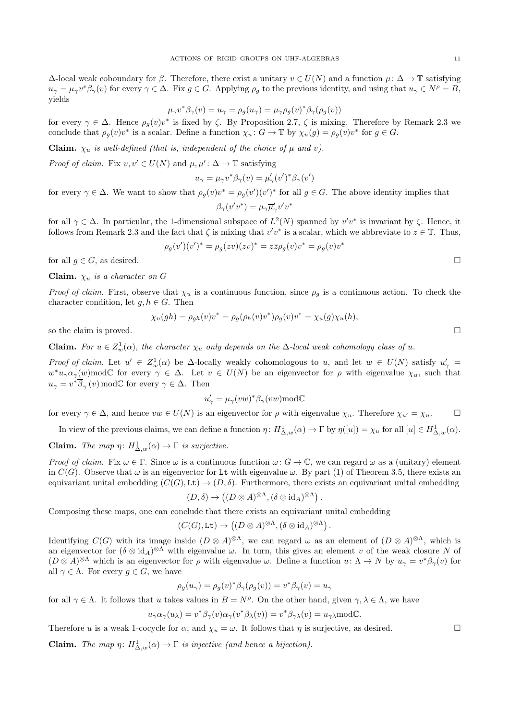$\Delta$ -local weak coboundary for  $\beta$ . Therefore, there exist a unitary  $v \in U(N)$  and a function  $\mu: \Delta \to \mathbb{T}$  satisfying  $u_{\gamma} = \mu_{\gamma} v^* \beta_{\gamma}(v)$  for every  $\gamma \in \Delta$ . Fix  $g \in G$ . Applying  $\rho_g$  to the previous identity, and using that  $u_{\gamma} \in N^{\rho} = B$ , yields

$$
\mu_{\gamma}v^*\beta_{\gamma}(v) = u_{\gamma} = \rho_g(u_{\gamma}) = \mu_{\gamma}\rho_g(v)^*\beta_{\gamma}(\rho_g(v))
$$

for every  $\gamma \in \Delta$ . Hence  $\rho_g(v)v^*$  is fixed by  $\zeta$ . By Proposition [2.7,](#page-4-3)  $\zeta$  is mixing. Therefore by Remark [2.3](#page-3-2) we conclude that  $\rho_g(v)v^*$  is a scalar. Define a function  $\chi_u: G \to \mathbb{T}$  by  $\chi_u(g) = \rho_g(v)v^*$  for  $g \in G$ .

**Claim.**  $\chi_u$  is well-defined (that is, independent of the choice of  $\mu$  and v).

*Proof of claim.* Fix  $v, v' \in U(N)$  and  $\mu, \mu' : \Delta \to \mathbb{T}$  satisfying

$$
u_{\gamma} = \mu_{\gamma} v^* \beta_{\gamma}(v) = \mu'_{\gamma}(v')^* \beta_{\gamma}(v')
$$

for every  $\gamma \in \Delta$ . We want to show that  $\rho_g(v)v^* = \rho_g(v')(v')^*$  for all  $g \in G$ . The above identity implies that

$$
\beta_\gamma(v'v^*) = \mu_\gamma \overline{\mu}'_\gamma v'v^*
$$

for all  $\gamma \in \Delta$ . In particular, the 1-dimensional subspace of  $L^2(N)$  spanned by  $v'v^*$  is invariant by  $\zeta$ . Hence, it follows from Remark [2.3](#page-3-2) and the fact that  $\zeta$  is mixing that  $v'v^*$  is a scalar, which we abbreviate to  $z \in \mathbb{T}$ . Thus,

$$
\rho_g(v')(v')^* = \rho_g(zv)(zv)^* = z\overline{z}\rho_g(v)v^* = \rho_g(v)v^*
$$

for all  $g \in G$ , as desired.

Claim.  $\chi_u$  is a character on G

*Proof of claim.* First, observe that  $\chi_u$  is a continuous function, since  $\rho_g$  is a continuous action. To check the character condition, let  $g, h \in G$ . Then

$$
\chi_u(gh) = \rho_{gh}(v)v^* = \rho_g(\rho_h(v)v^*)\rho_g(v)v^* = \chi_u(g)\chi_u(h),
$$

so the claim is proved.  $\square$ 

**Claim.** For  $u \in Z_w^1(\alpha)$ , the character  $\chi_u$  only depends on the  $\Delta$ -local weak cohomology class of u.

Proof of claim. Let  $u' \in Z_w^1(\alpha)$  be  $\Delta$ -locally weakly cohomologous to u, and let  $w \in U(N)$  satisfy  $u'_{\gamma} =$  $w^*u_{\gamma}\alpha_{\gamma}(w)$ modC for every  $\gamma \in \Delta$ . Let  $v \in U(N)$  be an eigenvector for  $\rho$  with eigenvalue  $\chi_u$ , such that  $u_{\gamma} = v^* \overline{\beta}_{\gamma}(v) \bmod \mathbb{C}$  for every  $\gamma \in \Delta$ . Then

$$
u'_\gamma = \mu_\gamma(vw)^* \beta_\gamma(vw) \text{mod} \mathbb{C}
$$

for every  $\gamma \in \Delta$ , and hence  $vw \in U(N)$  is an eigenvector for  $\rho$  with eigenvalue  $\chi_u$ . Therefore  $\chi_{u'} = \chi_u$ .

In view of the previous claims, we can define a function  $\eta: H^1_{\Delta,w}(\alpha) \to \Gamma$  by  $\eta([u]) = \chi_u$  for all  $[u] \in H^1_{\Delta,w}(\alpha)$ .

**Claim.** The map  $\eta: H^1_{\Delta,w}(\alpha) \to \Gamma$  is surjective.

Proof of claim. Fix  $\omega \in \Gamma$ . Since  $\omega$  is a continuous function  $\omega: G \to \mathbb{C}$ , we can regard  $\omega$  as a (unitary) element in  $C(G)$ . Observe that  $\omega$  is an eigenvector for Lt with eigenvalue  $\omega$ . By part (1) of Theorem [3.5,](#page-8-0) there exists an equivariant unital embedding  $(C(G), L_t) \to (D, \delta)$ . Furthermore, there exists an equivariant unital embedding

$$
(D,\delta) \to ((D\otimes A)^{\otimes \Lambda}, (\delta\otimes id_A)^{\otimes \Lambda}).
$$

Composing these maps, one can conclude that there exists an equivariant unital embedding

$$
(C(G),\mathrm{Lt})\rightarrow ((D\otimes A)^{\otimes \Lambda},(\delta\otimes\mathrm{id}_A)^{\otimes \Lambda}).
$$

Identifying  $C(G)$  with its image inside  $(D \otimes A)^{\otimes \Lambda}$ , we can regard  $\omega$  as an element of  $(D \otimes A)^{\otimes \Lambda}$ , which is an eigenvector for  $(\delta \otimes id_A)^{\otimes \Lambda}$  with eigenvalue  $\omega$ . In turn, this gives an element v of the weak closure N of  $(D \otimes A)^{\otimes \Lambda}$  which is an eigenvector for  $\rho$  with eigenvalue  $\omega$ . Define a function  $u \colon \Lambda \to N$  by  $u_{\gamma} = v^* \beta_{\gamma}(v)$  for all  $\gamma \in \Lambda$ . For every  $g \in G$ , we have

$$
\rho_g(u_\gamma) = \rho_g(v)^* \beta_\gamma(\rho_g(v)) = v^* \beta_\gamma(v) = u_\gamma
$$

for all  $\gamma \in \Lambda$ . It follows that u takes values in  $B = N^{\rho}$ . On the other hand, given  $\gamma, \lambda \in \Lambda$ , we have

$$
u_{\gamma}\alpha_{\gamma}(u_{\lambda}) = v^*\beta_{\gamma}(v)\alpha_{\gamma}(v^*\beta_{\lambda}(v)) = v^*\beta_{\gamma\lambda}(v) = u_{\gamma\lambda}\text{mod}\mathbb{C}.
$$

Therefore u is a weak 1-cocycle for  $\alpha$ , and  $\chi_u = \omega$ . It follows that  $\eta$  is surjective, as desired.

**Claim.** The map  $\eta: H^1_{\Delta,w}(\alpha) \to \Gamma$  is injective (and hence a bijection).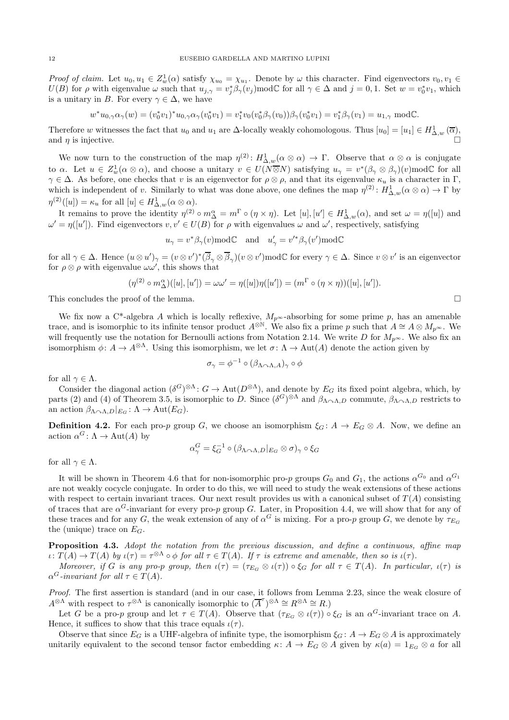Proof of claim. Let  $u_0, u_1 \in Z_w^1(\alpha)$  satisfy  $\chi_{u_0} = \chi_{u_1}$ . Denote by  $\omega$  this character. Find eigenvectors  $v_0, v_1 \in Z_w^1(\alpha)$  $U(B)$  for  $\rho$  with eigenvalue  $\omega$  such that  $u_{j,\gamma} = v_j^* \beta_\gamma(v_j) \text{mod} \mathbb{C}$  for all  $\gamma \in \Delta$  and  $j = 0, 1$ . Set  $w = v_0^* v_1$ , which is a unitary in B. For every  $\gamma \in \Delta$ , we have

$$
w^*u_{0,\gamma}\alpha_\gamma(w)=(v_0^*v_1)^*u_{0,\gamma}\alpha_\gamma(v_0^*v_1)=v_1^*v_0(v_0^*\beta_\gamma(v_0))\beta_\gamma(v_0^*v_1)=v_1^*\beta_\gamma(v_1)=u_{1,\gamma}\ \text{mod}\mathbb{C}.
$$

Therefore w witnesses the fact that  $u_0$  and  $u_1$  are  $\Delta$ -locally weakly cohomologous. Thus  $[u_0] = [u_1] \in H^1_{\Delta,w}(\overline{\alpha}),$ and  $\eta$  is injective.

We now turn to the construction of the map  $\eta^{(2)}$ :  $H^1_{\Delta,w}(\alpha \otimes \alpha) \to \Gamma$ . Observe that  $\alpha \otimes \alpha$  is conjugate to  $\alpha$ . Let  $u \in Z_w^1(\alpha \otimes \alpha)$ , and choose a unitary  $v \in U(N \overline{\otimes} N)$  satisfying  $u_\gamma = v^*(\beta_\gamma \otimes \beta_\gamma)(v)$ mod $\mathbb C$  for all  $\gamma \in \Delta$ . As before, one checks that v is an eigenvector for  $\rho \otimes \rho$ , and that its eigenvalue  $\kappa_u$  is a character in  $\Gamma$ , which is independent of v. Similarly to what was done above, one defines the map  $\eta^{(2)}: H^1_{\Delta,w}(\alpha \otimes \alpha) \to \Gamma$  by  $\eta^{(2)}([u]) = \kappa_u$  for all  $[u] \in H^1_{\Delta,w}(\alpha \otimes \alpha)$ .

It remains to prove the identity  $\eta^{(2)} \circ m^{\alpha}_{\Delta} = m^{\Gamma} \circ (\eta \times \eta)$ . Let  $[u], [u'] \in H^1_{\Delta,w}(\alpha)$ , and set  $\omega = \eta([u])$  and  $\omega' = \eta([u'])$ . Find eigenvectors  $v, v' \in U(B)$  for  $\rho$  with eigenvalues  $\omega$  and  $\omega'$ , respectively, satisfying

$$
u_{\gamma} = v^* \beta_{\gamma}(v) \mod \mathbb{C}
$$
 and  $u'_{\gamma} = v'^* \beta_{\gamma}(v') \mod \mathbb{C}$ 

for all  $\gamma \in \Delta$ . Hence  $(u \otimes u')_{\gamma} = (v \otimes v')^*(\overline{\beta}_{\gamma} \otimes \overline{\beta}_{\gamma})(v \otimes v')\text{mod}\mathbb{C}$  for every  $\gamma \in \Delta$ . Since  $v \otimes v'$  is an eigenvector for  $\rho \otimes \rho$  with eigenvalue  $\omega \omega'$ , this shows that

$$
(\eta^{(2)} \circ m_{\Delta}^{\alpha})([u], [u']) = \omega \omega' = \eta([u])\eta([u']) = (m^{\Gamma} \circ (\eta \times \eta))([u], [u']).
$$

This concludes the proof of the lemma.  $\Box$ 

We fix now a C<sup>\*</sup>-algebra A which is locally reflexive,  $M_{p^{\infty}}$ -absorbing for some prime p, has an amenable trace, and is isomorphic to its infinite tensor product  $A^{\otimes \mathbb{N}}$ . We also fix a prime p such that  $A \cong A \otimes M_{p^{\infty}}$ . We will frequently use the notation for Bernoulli actions from Notation [2.14.](#page-5-1) We write D for  $M_{p^{\infty}}$ . We also fix an isomorphism  $\phi: A \to A^{\otimes \Lambda}$ . Using this isomorphism, we let  $\sigma: \Lambda \to \text{Aut}(A)$  denote the action given by

$$
\sigma_{\gamma} = \phi^{-1} \circ (\beta_{\Lambda \cap \Lambda, A})_{\gamma} \circ \phi
$$

for all  $\gamma \in \Lambda$ .

Consider the diagonal action  $(\delta^G)^{\otimes \Lambda}$ :  $G \to \text{Aut}(D^{\otimes \Lambda})$ , and denote by  $E_G$  its fixed point algebra, which, by parts (2) and (4) of Theorem [3.5,](#page-8-0) is isomorphic to D. Since  $(\delta^G)^{\otimes \Lambda}$  and  $\beta_{\Lambda \curvearrowright \Lambda,D}$  commute,  $\beta_{\Lambda \curvearrowright \Lambda,D}$  restricts to an action  $\beta_{\Lambda \cap \Lambda,D}|_{E_G} : \Lambda \to \text{Aut}(E_G)$ .

<span id="page-11-1"></span>**Definition 4.2.** For each pro-p group G, we choose an isomorphism  $\xi_G$ :  $A \to E_G \otimes A$ . Now, we define an action  $\alpha^G \colon \Lambda \to \text{Aut}(A)$  by

$$
\alpha_{\gamma}^{G} = \xi_{G}^{-1} \circ (\beta_{\Lambda \cap \Lambda,D}|_{E_G} \otimes \sigma)_{\gamma} \circ \xi_{G}
$$

for all  $\gamma \in \Lambda$ .

It will be shown in Theorem [4.6](#page-13-0) that for non-isomorphic pro-p groups  $G_0$  and  $G_1$ , the actions  $\alpha^{G_0}$  and  $\alpha^{G_1}$ are not weakly cocycle conjugate. In order to do this, we will need to study the weak extensions of these actions with respect to certain invariant traces. Our next result provides us with a canonical subset of  $T(A)$  consisting of traces that are  $\alpha^G$ -invariant for every pro-p group G. Later, in Proposition [4.4,](#page-12-0) we will show that for any of these traces and for any G, the weak extension of any of  $\alpha^G$  is mixing. For a pro-p group G, we denote by  $\tau_{E_G}$ the (unique) trace on  $E_G$ .

<span id="page-11-0"></span>Proposition 4.3. Adopt the notation from the previous discussion, and define a continuous, affine map  $\iota \colon T(A) \to T(A)$  by  $\iota(\tau) = \tau^{\otimes \Lambda} \circ \phi$  for all  $\tau \in T(A)$ . If  $\tau$  is extreme and amenable, then so is  $\iota(\tau)$ .

Moreover, if G is any pro-p group, then  $\iota(\tau) = (\tau_{E_G} \otimes \iota(\tau)) \circ \xi_G$  for all  $\tau \in T(A)$ . In particular,  $\iota(\tau)$  is  $\alpha^G$ -invariant for all  $\tau \in T(A)$ .

Proof. The first assertion is standard (and in our case, it follows from Lemma [2.23,](#page-7-1) since the weak closure of  $A^{\otimes \Lambda}$  with respect to  $\tau^{\otimes \Lambda}$  is canonically isomorphic to  $(\overline{A}^{\tau})^{\otimes \Lambda} \cong R^{\otimes \Lambda} \cong R$ .)

Let G be a pro-p group and let  $\tau \in T(A)$ . Observe that  $(\tau_{E_G} \otimes \iota(\tau)) \circ \xi_G$  is an  $\alpha^G$ -invariant trace on A. Hence, it suffices to show that this trace equals  $\iota(\tau)$ .

Observe that since  $E_G$  is a UHF-algebra of infinite type, the isomorphism  $\xi_G$ :  $A \to E_G \otimes A$  is approximately unitarily equivalent to the second tensor factor embedding  $\kappa: A \to E_G \otimes A$  given by  $\kappa(a) = 1_{E_G} \otimes a$  for all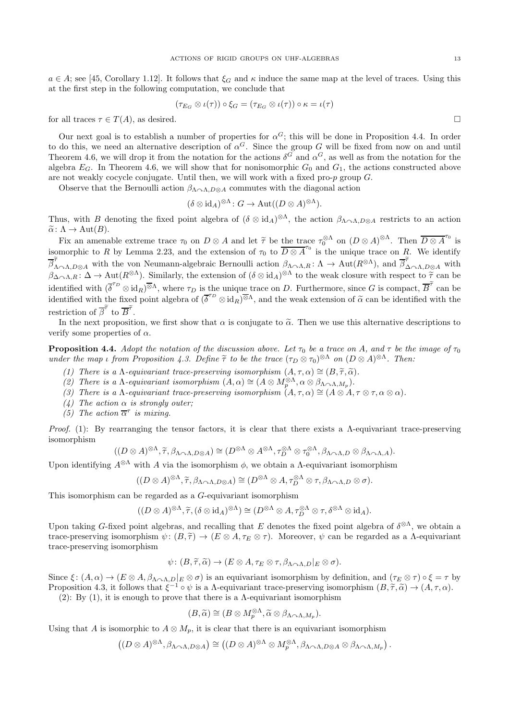$a \in A$ ; see [\[45,](#page-23-16) Corollary 1.12]. It follows that  $\xi_G$  and  $\kappa$  induce the same map at the level of traces. Using this at the first step in the following computation, we conclude that

$$
(\tau_{E_G}\otimes\iota(\tau))\circ\xi_G=(\tau_{E_G}\otimes\iota(\tau))\circ\kappa=\iota(\tau)
$$

for all traces  $\tau \in T(A)$ , as desired.

Our next goal is to establish a number of properties for  $\alpha^G$ ; this will be done in Proposition [4.4.](#page-12-0) In order to do this, we need an alternative description of  $\alpha^G$ . Since the group G will be fixed from now on and until Theorem [4.6,](#page-13-0) we will drop it from the notation for the actions  $\delta^G$  and  $\alpha^G$ , as well as from the notation for the algebra  $E_G$ . In Theorem [4.6,](#page-13-0) we will show that for nonisomorphic  $G_0$  and  $G_1$ , the actions constructed above are not weakly cocycle conjugate. Until then, we will work with a fixed pro-p group G.

Observe that the Bernoulli action  $\beta_{\Lambda \cap \Lambda}$ ,  $D \otimes A$  commutes with the diagonal action

$$
(\delta \otimes id_A)^{\otimes \Lambda} \colon G \to \text{Aut}((D \otimes A)^{\otimes \Lambda}).
$$

Thus, with B denoting the fixed point algebra of  $(\delta \otimes id_A)^{\otimes \Lambda}$ , the action  $\beta_{\Lambda \curvearrowright \Lambda, D\otimes A}$  restricts to an action  $\tilde{\alpha}$ :  $\Lambda \to \text{Aut}(B)$ .

Fix an amenable extreme trace  $\tau_0$  on  $D \otimes A$  and let  $\tilde{\tau}$  be the trace  $\tau_0^{\otimes \Lambda}$  on  $(D \otimes A)^{\otimes \Lambda}$ . Then  $\overline{D \otimes A}^{\tau_0}$  is isomorphic to R by Lemma [2.23,](#page-7-1) and the extension of  $\tau_0$  to  $\overline{D \otimes A}^{\tau_0}$  is the unique trace on R. We identify  $\overline{\beta}_{\Lambda \cap \Lambda, D\otimes A}^{\tilde{\tau}}$  with the von Neumann-algebraic Bernoulli action  $\beta_{\Lambda \cap \Lambda, R} \colon \Lambda \to \text{Aut}(R^{\otimes \Lambda})$ , and  $\overline{\beta}_{\Delta \cap \Lambda, D\otimes A}^{\tilde{\tau}}$  with  $\beta_{\Delta \cap \Lambda,R} \colon \Delta \to \text{Aut}(R^{\otimes \Lambda})$ . Similarly, the extension of  $(\delta \otimes id_A)^{\otimes \Lambda}$  to the weak closure with respect to  $\widetilde{\tau}$  can be identified with  $(\overline{\delta}^{\tau_D} \otimes \mathrm{id}_R)^{\overline{\otimes} \Lambda}$ , where  $\tau_D$  is the unique trace on D. Furthermore, since G is compact,  $\overline{B}^{\tilde{\tau}}$  can be identified with the fixed point algebra of  $(\overline{\delta}^{r_D} \otimes id_R)^{\overline{\otimes} \Lambda}$ , and the weak extension of  $\widetilde{\alpha}$  can be identified with the restriction of  $\overline{\beta}^{\tilde{\tau}}$  to  $\overline{B}^{\tilde{\tau}}$ .

In the next proposition, we first show that  $\alpha$  is conjugate to  $\tilde{\alpha}$ . Then we use this alternative descriptions to verify some properties of  $\alpha$ .

<span id="page-12-0"></span>**Proposition 4.4.** Adopt the notation of the discussion above. Let  $\tau_0$  be a trace on A, and  $\tau$  be the image of  $\tau_0$ under the map *ι* from Proposition [4.3.](#page-11-0) Define  $\tilde{\tau}$  to be the trace  $(\tau_D \otimes \tau_0)^{\otimes \Lambda}$  on  $(D \otimes A)^{\otimes \Lambda}$ . Then:

- (1) There is a  $\Lambda$ -equivariant trace-preserving isomorphism  $(A, \tau, \alpha) \cong (B, \tilde{\tau}, \tilde{\alpha}).$
- (2) There is a  $\Lambda$ -equivariant isomorphism  $(A, \alpha) \cong (A \otimes M_p^{\otimes \Lambda}, \alpha \otimes \beta_{\Lambda \curvearrowright \Lambda, M_p}).$
- (3) There is a  $\Lambda$ -equivariant trace-preserving isomorphism  $(A, \tau, \alpha) \cong (A \otimes A, \tau \otimes \tau, \alpha \otimes \alpha)$ .
- (4) The action  $\alpha$  is strongly outer;
- (5) The action  $\overline{\alpha}^{\tau}$  is mixing.

*Proof.* (1): By rearranging the tensor factors, it is clear that there exists a  $\Lambda$ -equivariant trace-preserving isomorphism

$$
((D\otimes A)^{\otimes\Lambda}, \widetilde{\tau}, \beta_{\Lambda\curvearrowright\Lambda, D\otimes A}) \cong (D^{\otimes\Lambda}\otimes A^{\otimes\Lambda}, \tau_D^{\otimes\Lambda}\otimes \tau_0^{\otimes\Lambda}, \beta_{\Lambda\curvearrowright\Lambda, D}\otimes \beta_{\Lambda\curvearrowright\Lambda, A}).
$$

Upon identifying  $A^{\otimes \Lambda}$  with A via the isomorphism  $\phi$ , we obtain a  $\Lambda$ -equivariant isomorphism

$$
((D\otimes A)^{\otimes\Lambda},\widetilde{\tau},\beta_{\Lambda\curvearrowright\Lambda,D\otimes A})\cong(D^{\otimes\Lambda}\otimes A,\tau_D^{\otimes\Lambda}\otimes \tau,\beta_{\Lambda\curvearrowright\Lambda,D}\otimes \sigma).
$$

This isomorphism can be regarded as a G-equivariant isomorphism

$$
((D\otimes A)^{\otimes\Lambda},\widetilde{\tau},(\delta\otimes\mathrm{id}_A)^{\otimes\Lambda})\cong(D^{\otimes\Lambda}\otimes A,\tau_D^{\otimes\Lambda}\otimes\tau,\delta^{\otimes\Lambda}\otimes\mathrm{id}_A).
$$

Upon taking G-fixed point algebras, and recalling that E denotes the fixed point algebra of  $\delta^{\otimes\Lambda}$ , we obtain a trace-preserving isomorphism  $\psi: (B, \tilde{\tau}) \to (E \otimes A, \tau_E \otimes \tau)$ . Moreover,  $\psi$  can be regarded as a  $\Lambda$ -equivariant trace-preserving isomorphism

$$
\psi\colon (B,\widetilde{\tau},\widetilde{\alpha})\to (E\otimes A,\tau_E\otimes \tau,\beta_{\Lambda\curvearrowright \Lambda,D}|_E\otimes \sigma).
$$

Since  $\xi: (A, \alpha) \to (E \otimes A, \beta_{\Lambda \cap \Lambda}, D|_E \otimes \sigma)$  is an equivariant isomorphism by definition, and  $(\tau_E \otimes \tau) \circ \xi = \tau$  by Proposition [4.3,](#page-11-0) it follows that  $\xi^{-1} \circ \psi$  is a  $\Lambda$ -equivariant trace-preserving isomorphism  $(B, \tilde{\tau}, \tilde{\alpha}) \to (A, \tau, \alpha)$ .

(2): By (1), it is enough to prove that there is a  $\Lambda$ -equivariant isomorphism

$$
(B,\widetilde{\alpha}) \cong (B \otimes M_p^{\otimes \Lambda}, \widetilde{\alpha} \otimes \beta_{\Lambda \curvearrowright \Lambda, M_p}).
$$

Using that A is isomorphic to  $A \otimes M_p$ , it is clear that there is an equivariant isomorphism

$$
((D\otimes A)^{\otimes\Lambda},\beta_{\Lambda\curvearrowright\Lambda,D\otimes A})\cong ((D\otimes A)^{\otimes\Lambda}\otimes M_p^{\otimes\Lambda},\beta_{\Lambda\curvearrowright\Lambda,D\otimes A}\otimes \beta_{\Lambda\curvearrowright\Lambda,M_p})\ .
$$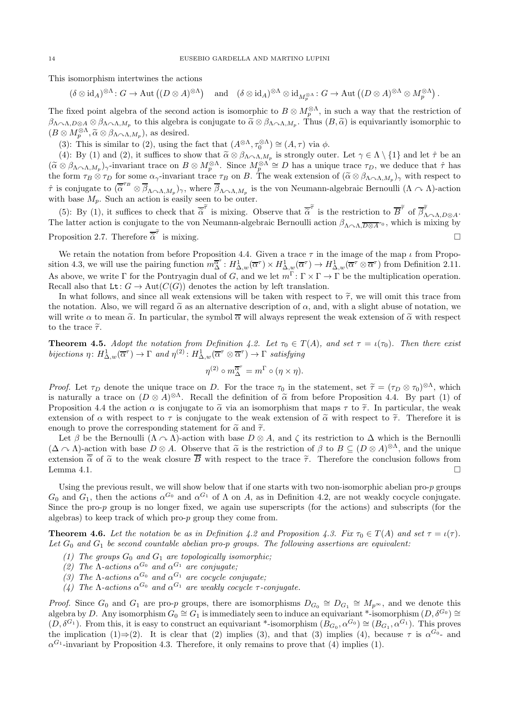This isomorphism intertwines the actions

$$
(\delta \otimes id_A)^{\otimes \Lambda} : G \to \text{Aut}\left((D \otimes A)^{\otimes \Lambda}\right) \quad \text{and} \quad (\delta \otimes id_A)^{\otimes \Lambda} \otimes id_{M_p^{\otimes \Lambda}} : G \to \text{Aut}\left((D \otimes A)^{\otimes \Lambda} \otimes M_p^{\otimes \Lambda}\right).
$$

The fixed point algebra of the second action is isomorphic to  $B \otimes M_p^{\otimes \Lambda}$ , in such a way that the restriction of  $\beta_{\Lambda\curvearrowright\Lambda,D\otimes A}\otimes\beta_{\Lambda\curvearrowright\Lambda,M_p}$  to this algebra is conjugate to  $\widetilde{\alpha}\otimes\beta_{\Lambda\curvearrowright\Lambda,M_p}$ . Thus  $(B,\widetilde{\alpha})$  is equivariantly isomorphic to  $(B\otimes M_p^{\otimes\Lambda}, \widetilde{\alpha}\otimes \beta_{\Lambda\curvearrowright\Lambda,M_p}),$  as desired.

(3): This is similar to (2), using the fact that  $(A^{\otimes \Lambda}, \tau_0^{\otimes \Lambda}) \cong (A, \tau)$  via  $\phi$ .

(4): By (1) and (2), it suffices to show that  $\tilde{\alpha} \otimes \beta_{\Lambda \sim \Lambda, M_p}$  is strongly outer. Let  $\gamma \in \Lambda \setminus \{1\}$  and let  $\hat{\tau}$  be an  $(\widetilde{\alpha} \otimes \beta_{\Lambda \curvearrowright \Lambda, M_p})_\gamma$ -invariant trace on  $B \otimes M_p^{\otimes \Lambda}$ . Since  $M_p^{\otimes \Lambda} \cong D$  has a unique trace  $\tau_D$ , we deduce that  $\hat{\tau}$  has the form  $\tau_B \otimes \tau_D$  for some  $\alpha_{\gamma}$ -invariant trace  $\tau_B$  on B. The weak extension of  $(\tilde{\alpha} \otimes \beta_{\Lambda \sim \Lambda, M_p})_{\gamma}$  with respect to  $\hat{\tau}$  is conjugate to  $(\overline{\hat{\alpha}}^{T_B} \otimes \overline{\beta}_{\Lambda \curvearrowright \Lambda, M_p})_\gamma$ , where  $\overline{\beta}_{\Lambda \curvearrowright \Lambda, M_p}$  is the von Neumann-algebraic Bernoulli  $(\Lambda \curvearrowright \Lambda)$ -action with base  $M_p$ . Such an action is easily seen to be outer.

(5): By (1), it suffices to check that  $\overline{\tilde{\alpha}}^{\tilde{\tau}}$  is mixing. Observe that  $\overline{\tilde{\alpha}}^{\tilde{\tau}}$  is the restriction to  $\overline{B}^{\tilde{\tau}}$  of  $\overline{\beta}^{\tilde{\tau}}_{\Lambda \sim \Lambda, D\otimes A}$ . The latter action is conjugate to the von Neumann-algebraic Bernoulli action  $\beta_{\Lambda,\alpha\Lambda,\overline{D\otimes A}}$ <sup>r</sup><sup>0</sup>, which is mixing by Proposition [2.7.](#page-4-3) Therefore  $\overline{\widetilde{\alpha}}^{\widetilde{\tau}}$  is mixing.

We retain the notation from before Proposition [4.4.](#page-12-0) Given a trace  $\tau$  in the image of the map  $\iota$  from Propo-sition [4.3,](#page-11-0) we will use the pairing function  $m_{\Delta}^{\overline{\alpha}^{\tau}} : H^1_{\Delta,w}(\overline{\alpha}^{\tau}) \times H^1_{\Delta,w}(\overline{\alpha}^{\tau}) \to H^1_{\Delta,w}(\overline{\alpha}^{\tau} \otimes \overline{\alpha}^{\tau})$  from Definition [2.11.](#page-4-2) As above, we write  $\Gamma$  for the Pontryagin dual of G, and we let  $m^{\Gamma} \colon \Gamma \times \Gamma \to \Gamma$  be the multiplication operation. Recall also that  $\texttt{Lt}: G \to \text{Aut}(C(G))$  denotes the action by left translation.

In what follows, and since all weak extensions will be taken with respect to  $\tilde{\tau}$ , we will omit this trace from the notation. Also, we will regard  $\tilde{\alpha}$  as an alternative description of  $\alpha$ , and, with a slight abuse of notation, we will write  $\alpha$  to mean  $\tilde{\alpha}$ . In particular, the symbol  $\overline{\alpha}$  will always represent the weak extension of  $\tilde{\alpha}$  with respect to the trace  $\tilde{\tau}$ .

<span id="page-13-1"></span>**Theorem 4.5.** Adopt the notation from Definition [4.2.](#page-11-1) Let  $\tau_0 \in T(A)$ , and set  $\tau = \iota(\tau_0)$ . Then there exist bijections  $\eta: H^1_{\Delta,w}(\overline{\alpha}^{\tau}) \to \Gamma$  and  $\eta^{(2)}: H^1_{\Delta,w}(\overline{\alpha}^{\tau} \otimes \overline{\alpha}^{\tau}) \to \Gamma$  satisfying

$$
\eta^{(2)} \circ m_{\Delta}^{\overline{\alpha}^{\tau}} = m^{\Gamma} \circ (\eta \times \eta).
$$

*Proof.* Let  $\tau_D$  denote the unique trace on D. For the trace  $\tau_0$  in the statement, set  $\tilde{\tau} = (\tau_D \otimes \tau_0)^{\otimes \Lambda}$ , which is naturally a trace on  $(D \otimes A)^{\otimes \Lambda}$ . Recall the definition of  $\tilde{\alpha}$  from before Proposition [4.4.](#page-12-0) By part (1) of Proposition [4.4](#page-12-0) the action  $\alpha$  is conjugate to  $\tilde{\alpha}$  via an isomorphism that maps  $\tau$  to  $\tilde{\tau}$ . In particular, the weak extension of  $\alpha$  with respect to  $\tau$  is conjugate to the weak extension of  $\tilde{\alpha}$  with respect to  $\tilde{\tau}$ . Therefore it is enough to prove the corresponding statement for  $\tilde{\alpha}$  and  $\tilde{\tau}$ .

Let β be the Bernoulli  $(\Lambda \cap \Lambda)$ -action with base  $D \otimes A$ , and  $\zeta$  its restriction to  $\Delta$  which is the Bernoulli  $(\Delta \cap \Lambda)$ -action with base  $D \otimes A$ . Observe that  $\tilde{\alpha}$  is the restriction of  $\beta$  to  $B \subseteq (D \otimes A)^{\otimes \Lambda}$ , and the unique extension  $\overline{\tilde{\alpha}}$  of  $\tilde{\alpha}$  to the weak closure  $\overline{B}$  with respect to the trace  $\tilde{\tau}$ . Therefore the conclusion follows from Lemma 4.1. Lemma [4.1.](#page-9-0)  $\Box$ 

Using the previous result, we will show below that if one starts with two non-isomorphic abelian pro-p groups  $G_0$  and  $G_1$ , then the actions  $\alpha^{G_0}$  and  $\alpha^{G_1}$  of  $\Lambda$  on A, as in Definition [4.2,](#page-11-1) are not weakly cocycle conjugate. Since the pro- $p$  group is no longer fixed, we again use superscripts (for the actions) and subscripts (for the algebras) to keep track of which pro-p group they come from.

<span id="page-13-0"></span>**Theorem 4.6.** Let the notation be as in Definition [4.2](#page-11-1) and Proposition [4.3.](#page-11-0) Fix  $\tau_0 \in T(A)$  and set  $\tau = \iota(\tau)$ . Let  $G_0$  and  $G_1$  be second countable abelian pro-p groups. The following assertions are equivalent:

- (1) The groups  $G_0$  and  $G_1$  are topologically isomorphic;
- (2) The  $\Lambda$ -actions  $\alpha^{G_0}$  and  $\alpha^{G_1}$  are conjugate;
- (3) The  $\Lambda$ -actions  $\alpha^{G_0}$  and  $\alpha^{G_1}$  are cocycle conjugate;
- (4) The  $\Lambda$ -actions  $\alpha^{G_0}$  and  $\alpha^{G_1}$  are weakly cocycle  $\tau$ -conjugate.

*Proof.* Since  $G_0$  and  $G_1$  are pro-p groups, there are isomorphisms  $D_{G_0} \cong D_{G_1} \cong M_{p^{\infty}}$ , and we denote this algebra by D. Any isomorphism  $G_0 \cong G_1$  is immediately seen to induce an equivariant \*-isomorphism  $(D, \delta^{G_0}) \cong$  $(D, \delta^{G_1})$ . From this, it is easy to construct an equivariant \*-isomorphism  $(B_{G_0}, \alpha^{G_0}) \cong (B_{G_1}, \alpha^{G_1})$ . This proves the implication (1)⇒(2). It is clear that (2) implies (3), and that (3) implies (4), because  $\tau$  is  $\alpha^{G_0}$ - and  $\alpha^{G_1}$ -invariant by Proposition [4.3.](#page-11-0) Therefore, it only remains to prove that (4) implies (1).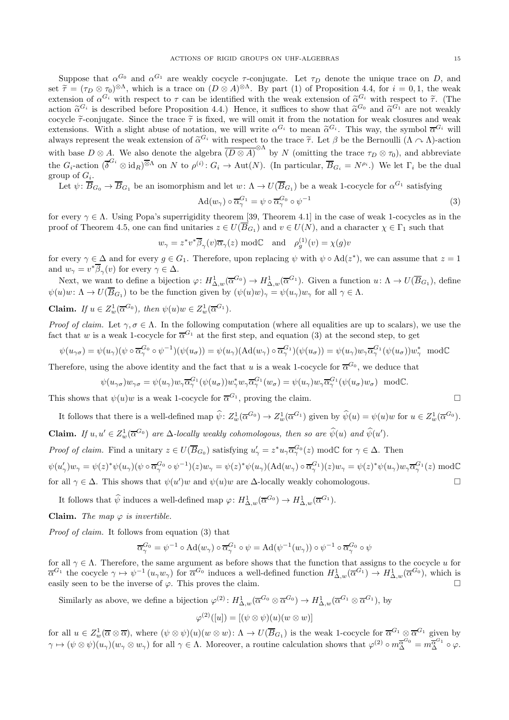Suppose that  $\alpha^{G_0}$  and  $\alpha^{G_1}$  are weakly cocycle  $\tau$ -conjugate. Let  $\tau_D$  denote the unique trace on D, and set  $\tilde{\tau} = (\tau_D \otimes \tau_0)^{\otimes \Lambda}$ , which is a trace on  $(D \otimes A)^{\otimes \Lambda}$ . By part (1) of Proposition [4.4,](#page-12-0) for  $i = 0, 1$ , the weak extension of  $\alpha^{G_i}$  with respect to  $\tau$  can be identified with the weak extension of  $\tilde{\alpha}^{G_i}$  with respect to  $\tilde{\tau}$ . (The action  $\tilde{\alpha}^{G_i}$  is described before Proposition [4.4.](#page-12-0)) Hence, it suffices to show that  $\tilde{\alpha}^{G_0}$  and  $\tilde{\alpha}^{G_1}$  are not weakly cocycle  $\tilde{\tau}$ -conjugate. Since the trace  $\tilde{\tau}$  is fixed, we will omit it from the notation for weak closures and weak extensions. With a slight abuse of notation, we will write  $\alpha^{G_i}$  to mean  $\tilde{\alpha}^{G_i}$ . This way, the symbol  $\overline{\alpha}^{G_i}$  will always represent the weak extension of  $\tilde{\alpha}^{G_i}$  with respect to the trace  $\tilde{\tau}$ . Let  $\beta$  be the Bernoulli  $(\Lambda \curvearrowright \Lambda)$ -action with base  $D \otimes A$ . We also denote the algebra  $\overline{(D \otimes A)}^{\otimes \Lambda}$  by N (omitting the trace  $\tau_D \otimes \tau_0$ ), and abbreviate the  $G_i$ -action  $\overline{(\delta}^{G_i} \otimes \text{id}_R)^{\overline{\otimes} \Lambda}$  on N to  $\rho^{(i)} \colon G_i \to \text{Aut}(N)$ . (In particular,  $\overline{B}_{G_i} = N^{\rho_i}$ .) We let  $\Gamma_i$  be the dual group of  $G_i$ .

Let  $\psi: \overline{B}_{G_0} \to \overline{B}_{G_1}$  be an isomorphism and let  $w: \Lambda \to U(\overline{B}_{G_1})$  be a weak 1-cocycle for  $\alpha^{G_1}$  satisfying

<span id="page-14-0"></span>
$$
\operatorname{Ad}(w_{\gamma}) \circ \overline{\alpha}_{\gamma}^{G_1} = \psi \circ \overline{\alpha}_{\gamma}^{G_0} \circ \psi^{-1}
$$
\n(3)

for every  $\gamma \in \Lambda$ . Using Popa's superrigidity theorem [\[39,](#page-23-1) Theorem 4.1] in the case of weak 1-cocycles as in the proof of Theorem [4.5,](#page-13-1) one can find unitaries  $z \in U(B_{G_1})$  and  $v \in U(N)$ , and a character  $\chi \in \Gamma_1$  such that

$$
w_{\gamma} = z^* v^* \overline{\beta}_{\gamma}(v) \overline{\alpha}_{\gamma}(z) \text{ mod} \mathbb{C} \text{ and } \rho_g^{(1)}(v) = \chi(g)v
$$

for every  $\gamma \in \Delta$  and for every  $g \in G_1$ . Therefore, upon replacing  $\psi$  with  $\psi \circ \text{Ad}(z^*)$ , we can assume that  $z = 1$ and  $w_{\gamma} = v^* \overline{\beta}_{\gamma}(v)$  for every  $\gamma \in \Delta$ .

Next, we want to define a bijection  $\varphi: H^1_{\Delta,w}(\overline{\alpha}^{G_0}) \to H^1_{\Delta,w}(\overline{\alpha}^{G_1})$ . Given a function  $u: \Lambda \to U(\overline{B}_{G_1})$ , define  $\psi(u)w: \Lambda \to U(B_{G_1})$  to be the function given by  $(\psi(u)w)_{\gamma} = \psi(u_{\gamma})w_{\gamma}$  for all  $\gamma \in \Lambda$ .

**Claim.** If  $u \in Z_w^1(\overline{\alpha}^{G_0})$ , then  $\psi(u)w \in Z_w^1(\overline{\alpha}^{G_1})$ .

Proof of claim. Let  $\gamma, \sigma \in \Lambda$ . In the following computation (where all equalities are up to scalars), we use the fact that w is a weak 1-cocycle for  $\overline{\alpha}^{G_1}$  at the first step, and equation [\(3\)](#page-14-0) at the second step, to get

$$
\psi(u_{\gamma\sigma}) = \psi(u_{\gamma})(\psi \circ \overline{\alpha}_{\gamma}^{G_0} \circ \psi^{-1})(\psi(u_{\sigma})) = \psi(u_{\gamma})(\text{Ad}(w_{\gamma}) \circ \overline{\alpha}_{\gamma}^{G_1})(\psi(u_{\sigma})) = \psi(u_{\gamma})w_{\gamma}\overline{\alpha}_{\gamma}^{G_1}(\psi(u_{\sigma}))w_{\gamma}^* \mod \mathbb{C}
$$

Therefore, using the above identity and the fact that u is a weak 1-cocycle for  $\overline{\alpha}^{G_0}$ , we deduce that

$$
\psi(u_{\gamma\sigma})w_{\gamma\sigma} = \psi(u_{\gamma})w_{\gamma}\overline{\alpha}_{\gamma}^{G_1}(\psi(u_{\sigma}))w_{\gamma}^*w_{\gamma}\overline{\alpha}_{\gamma}^{G_1}(w_{\sigma}) = \psi(u_{\gamma})w_{\gamma}\overline{\alpha}_{\gamma}^{G_1}(\psi(u_{\sigma})w_{\sigma}) \mod \mathbb{C}.
$$

This shows that  $\psi(u)w$  is a weak 1-cocycle for  $\overline{\alpha}^{G_1}$ , proving the claim.

It follows that there is a well-defined map  $\hat{\psi}$ :  $Z_w^1(\overline{\alpha}^{G_0}) \to Z_w^1(\overline{\alpha}^{G_1})$  given by  $\hat{\psi}(u) = \psi(u)w$  for  $u \in Z_w^1(\overline{\alpha}^{G_0})$ .

**Claim.** If  $u, u' \in Z_w^1(\overline{\alpha}^{G_0})$  are  $\Delta$ -locally weakly cohomologous, then so are  $\widehat{\psi}(u)$  and  $\widehat{\psi}(u')$ .

Proof of claim. Find a unitary  $z \in U(\overline{B}_{G_0})$  satisfying  $u'_\gamma = z^* u_\gamma \overline{\alpha}_{\gamma}^{G_0}(z)$  mod $\mathbb C$  for  $\gamma \in \Delta$ . Then

 $\psi(u_\gamma')w_\gamma = \psi(z)^*\psi(u_\gamma)(\psi\circ\overline{\alpha}_\gamma^{G_0}\circ\psi^{-1})(z)w_\gamma = \psi(z)^*\psi(u_\gamma) (\operatorname{Ad}(w_\gamma)\circ\overline{\alpha}_\gamma^{G_1})(z)w_\gamma = \psi(z)^*\psi(u_\gamma)w_\gamma\overline{\alpha}_\gamma^{G_1}(z) \bmod \mathbb{C}$ for all  $\gamma \in \Delta$ . This shows that  $\psi(u')w$  and  $\psi(u)w$  are  $\Delta$ -locally weakly cohomologous.

It follows that  $\hat{\psi}$  induces a well-defined map  $\varphi: H^1_{\Delta,w}(\overline{\alpha}^{G_0}) \to H^1_{\Delta,w}(\overline{\alpha}^{G_1}).$ 

Claim. The map  $\varphi$  is invertible.

Proof of claim. It follows from equation [\(3\)](#page-14-0) that

$$
\overline{\alpha}_{\gamma}^{G_0} = \psi^{-1} \circ \mathrm{Ad}(w_{\gamma}) \circ \overline{\alpha}_{\gamma}^{G_1} \circ \psi = \mathrm{Ad}(\psi^{-1}(w_{\gamma})) \circ \psi^{-1} \circ \overline{\alpha}_{\gamma}^{G_0} \circ \psi
$$

for all  $\gamma \in \Lambda$ . Therefore, the same argument as before shows that the function that assigns to the cocycle u for  $\overline{\alpha}^{G_1}$  the cocycle  $\gamma \mapsto \psi^{-1}(u_\gamma w_\gamma)$  for  $\overline{\alpha}^{G_0}$  induces a well-defined function  $H^1_{\Delta,w}(\overline{\alpha}^{G_1}) \to H^1_{\Delta,w}(\overline{\alpha}^{G_0})$ , which is easily seen to be the inverse of  $\varphi$ . This proves the claim.

Similarly as above, we define a bijection  $\varphi^{(2)}: H^1_{\Delta,w}(\overline{\alpha}^{G_0} \otimes \overline{\alpha}^{G_0}) \to H^1_{\Delta,w}(\overline{\alpha}^{G_1} \otimes \overline{\alpha}^{G_1}),$  by

 $\varphi^{(2)}([u]) = [(\psi \otimes \psi)(u)(w \otimes w)]$ 

for all  $u \in Z_w^1(\overline{\alpha} \otimes \overline{\alpha})$ , where  $(\psi \otimes \psi)(u)(w \otimes w) \colon \Lambda \to U(\overline{B}_{G_1})$  is the weak 1-cocycle for  $\overline{\alpha}^{G_1} \otimes \overline{\alpha}^{G_1}$  given by  $\gamma \mapsto (\psi \otimes \psi)(u_{\gamma})(w_{\gamma} \otimes w_{\gamma})$  for all  $\gamma \in \Lambda$ . Moreover, a routine calculation shows that  $\varphi^{(2)} \circ m_{\Delta}^{\overline{\alpha}^{G_0}} = m_{\Delta}^{\overline{\alpha}^{G_1}} \circ \varphi$ .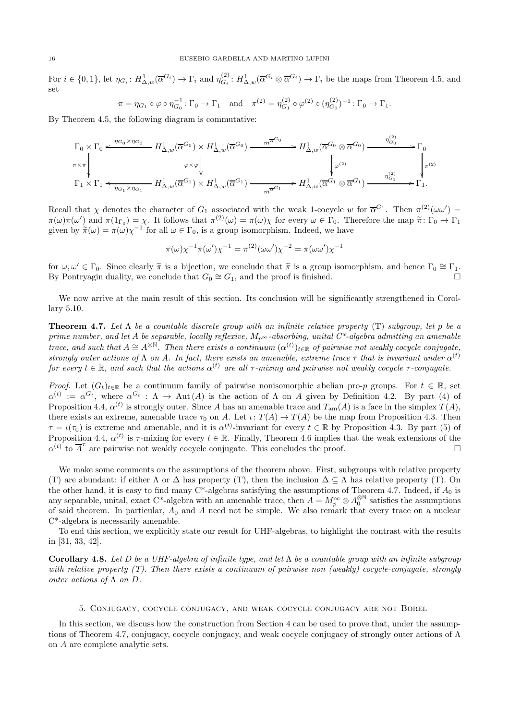For  $i \in \{0,1\}$ , let  $\eta_{G_i}: H^1_{\Delta,w}(\overline{\alpha}^{G_i}) \to \Gamma_i$  and  $\eta_{G_i}^{(2)}$  $G_i^{(2)}$ :  $H^1_{\Delta,w}(\overline{\alpha}^{G_i} \otimes \overline{\alpha}^{G_i}) \to \Gamma_i$  be the maps from Theorem [4.5,](#page-13-1) and set

$$
\pi = \eta_{G_1} \circ \varphi \circ \eta_{G_0}^{-1} \colon \Gamma_0 \to \Gamma_1
$$
 and  $\pi^{(2)} = \eta_{G_1}^{(2)} \circ \varphi^{(2)} \circ (\eta_{G_0}^{(2)})^{-1} \colon \Gamma_0 \to \Gamma_1$ .

By Theorem [4.5,](#page-13-1) the following diagram is commutative:

$$
\Gamma_0 \times \Gamma_0 \xleftarrow{\eta_{G_0} \times \eta_{G_0}} H^1_{\Delta,w}(\overline{\alpha}^{G_0}) \times H^1_{\Delta,w}(\overline{\alpha}^{G_0}) \xrightarrow{m^{\overline{\alpha}^{G_0}}} H^1_{\Delta,w}(\overline{\alpha}^{G_0} \otimes \overline{\alpha}^{G_0}) \xrightarrow{\eta_{G_0}^{(2)}} \Gamma_0
$$
\n
$$
\Gamma_1 \times \Gamma_1 \xleftarrow{\eta_{G_1} \times \eta_{G_1}} H^1_{\Delta,w}(\overline{\alpha}^{G_1}) \times H^1_{\Delta,w}(\overline{\alpha}^{G_1}) \xrightarrow{\eta_{\overline{\alpha}^{G_1}}^{G_1}} H^1_{\Delta,w}(\overline{\alpha}^{G_1} \otimes \overline{\alpha}^{G_1}) \xrightarrow{\eta_{G_1}^{(2)}} \Gamma_1.
$$

Recall that  $\chi$  denotes the character of  $G_1$  associated with the weak 1-cocycle w for  $\overline{\alpha}^{G_1}$ . Then  $\pi^{(2)}(\omega\omega')$  =  $\pi(\omega)\pi(\omega')$  and  $\pi(1_{\Gamma_0}) = \chi$ . It follows that  $\pi^{(2)}(\omega) = \pi(\omega)\chi$  for every  $\omega \in \Gamma_0$ . Therefore the map  $\tilde{\pi} \colon \Gamma_0 \to \Gamma_1$ given by  $\widetilde{\pi}(\omega) = \pi(\omega)\chi^{-1}$  for all  $\omega \in \Gamma_0$ , is a group isomorphism. Indeed, we have

$$
\pi(\omega)\chi^{-1}\pi(\omega')\chi^{-1} = \pi^{(2)}(\omega\omega')\chi^{-2} = \pi(\omega\omega')\chi^{-1}
$$

for  $\omega, \omega' \in \Gamma_0$ . Since clearly  $\tilde{\pi}$  is a bijection, we conclude that  $\tilde{\pi}$  is a group isomorphism, and hence  $\Gamma_0 \cong \Gamma_1$ . By Pontryagin duality, we conclude that  $G_0 \cong G_1$ , and the proof is finished.

We now arrive at the main result of this section. Its conclusion will be significantly strengthened in Corollary [5.10.](#page-20-1)

<span id="page-15-1"></span>**Theorem 4.7.** Let  $\Lambda$  be a countable discrete group with an infinite relative property (T) subgroup, let p be a prime number, and let A be separable, locally reflexive,  $M_{p^{\infty}}$ -absorbing, unital  $C^*$ -algebra admitting an amenable trace, and such that  $A \cong A^{\otimes \mathbb{N}}$ . Then there exists a continuum  $(\alpha^{(t)})_{t \in \mathbb{R}}$  of pairwise not weakly cocycle conjugate, strongly outer actions of  $\Lambda$  on A. In fact, there exists an amenable, extreme trace  $\tau$  that is invariant under  $\alpha^{(t)}$ for every  $t \in \mathbb{R}$ , and such that the actions  $\alpha^{(t)}$  are all  $\tau$ -mixing and pairwise not weakly cocycle  $\tau$ -conjugate.

*Proof.* Let  $(G_t)_{t\in\mathbb{R}}$  be a continuum family of pairwise nonisomorphic abelian pro-p groups. For  $t \in \mathbb{R}$ , set  $\alpha^{(t)} := \alpha^{G_t}$ , where  $\alpha^{G_t} : \Lambda \to \text{Aut}(A)$  is the action of  $\Lambda$  on A given by Definition [4.2.](#page-11-1) By part (4) of Proposition [4.4,](#page-12-0)  $\alpha^{(t)}$  is strongly outer. Since A has an amenable trace and  $T_{\text{am}}(A)$  is a face in the simplex  $T(A)$ , there exists an extreme, amenable trace  $\tau_0$  on A. Let  $\iota: T(A) \to T(A)$  be the map from Proposition [4.3.](#page-11-0) Then  $\tau = \iota(\tau_0)$  is extreme and amenable, and it is  $\alpha^{(t)}$ -invariant for every  $t \in \mathbb{R}$  by Proposition [4.3.](#page-11-0) By part (5) of Proposition [4.4,](#page-12-0)  $\alpha^{(t)}$  is  $\tau$ -mixing for every  $t \in \mathbb{R}$ . Finally, Theorem [4.6](#page-13-0) implies that the weak extensions of the  $\alpha^{(t)}$  to  $\overline{A}^{\tau}$  are pairwise not weakly cocycle conjugate. This concludes the proof.

We make some comments on the assumptions of the theorem above. First, subgroups with relative property (T) are abundant: if either  $\Lambda$  or  $\Delta$  has property (T), then the inclusion  $\Delta \subseteq \Lambda$  has relative property (T). On the other hand, it is easy to find many  $C^*$ -algebras satisfying the assumptions of Theorem [4.7.](#page-15-1) Indeed, if  $A_0$  is any separable, unital, exact C<sup>\*</sup>-algebra with an amenable trace, then  $A = M_p^{\infty} \otimes A_0^{\otimes N}$  satisfies the assumptions of said theorem. In particular,  $A_0$  and A need not be simple. We also remark that every trace on a nuclear C\*-algebra is necessarily amenable.

To end this section, we explicitly state our result for UHF-algebras, to highlight the contrast with the results in [\[31,](#page-23-2) [33,](#page-23-3) [42\]](#page-23-4).

<span id="page-15-0"></span>Corollary 4.8. Let D be a UHF-algebra of infinite type, and let  $\Lambda$  be a countable group with an infinite subgroup with relative property (T). Then there exists a continuum of pairwise non (weakly) cocycle-conjugate, strongly outer actions of  $\Lambda$  on  $D$ .

### 5. Conjugacy, cocycle conjugacy, and weak cocycle conjugacy are not Borel

<span id="page-15-2"></span>In this section, we discuss how the construction from Section 4 can be used to prove that, under the assumptions of Theorem [4.7,](#page-15-1) conjugacy, cocycle conjugacy, and weak cocycle conjugacy of strongly outer actions of Λ on A are complete analytic sets.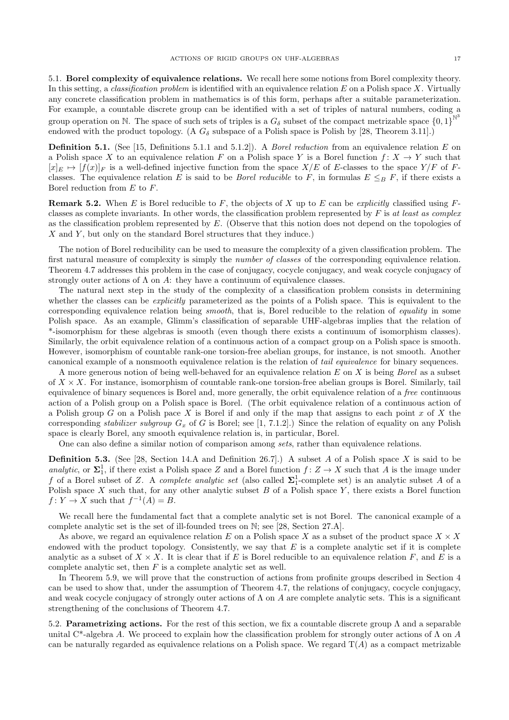5.1. Borel complexity of equivalence relations. We recall here some notions from Borel complexity theory. In this setting, a *classification problem* is identified with an equivalence relation  $E$  on a Polish space  $X$ . Virtually any concrete classification problem in mathematics is of this form, perhaps after a suitable parameterization. For example, a countable discrete group can be identified with a set of triples of natural numbers, coding a group operation on N. The space of such sets of triples is a  $G_{\delta}$  subset of the compact metrizable space  ${0,1}^{\mathbb{N}^3}$ endowed with the product topology. (A  $G_{\delta}$  subspace of a Polish space is Polish by [\[28,](#page-22-22) Theorem 3.11].)

Definition 5.1. (See [\[15,](#page-22-23) Definitions 5.1.1 and 5.1.2]). A *Borel reduction* from an equivalence relation E on a Polish space X to an equivalence relation F on a Polish space Y is a Borel function  $f: X \to Y$  such that  $[x]_E \mapsto [f(x)]_F$  is a well-defined injective function from the space  $X/E$  of E-classes to the space  $Y/F$  of Fclasses. The equivalence relation E is said to be *Borel reducible* to F, in formulas  $E \leq_B F$ , if there exists a Borel reduction from  $E$  to  $F$ .

**Remark 5.2.** When E is Borel reducible to F, the objects of X up to E can be explicitly classified using  $F$ classes as complete invariants. In other words, the classification problem represented by  $F$  is at least as complex as the classification problem represented by E. (Observe that this notion does not depend on the topologies of X and Y, but only on the standard Borel structures that they induce.)

The notion of Borel reducibility can be used to measure the complexity of a given classification problem. The first natural measure of complexity is simply the number of classes of the corresponding equivalence relation. Theorem [4.7](#page-15-1) addresses this problem in the case of conjugacy, cocycle conjugacy, and weak cocycle conjugacy of strongly outer actions of  $\Lambda$  on A: they have a continuum of equivalence classes.

The natural next step in the study of the complexity of a classification problem consists in determining whether the classes can be *explicitly* parameterized as the points of a Polish space. This is equivalent to the corresponding equivalence relation being *smooth*, that is, Borel reducible to the relation of *equality* in some Polish space. As an example, Glimm's classification of separable UHF-algebras implies that the relation of \*-isomorphism for these algebras is smooth (even though there exists a continuum of isomorphism classes). Similarly, the orbit equivalence relation of a continuous action of a compact group on a Polish space is smooth. However, isomorphism of countable rank-one torsion-free abelian groups, for instance, is not smooth. Another canonical example of a nonsmooth equivalence relation is the relation of tail equivalence for binary sequences.

A more generous notion of being well-behaved for an equivalence relation E on X is being Borel as a subset of  $X \times X$ . For instance, isomorphism of countable rank-one torsion-free abelian groups is Borel. Similarly, tail equivalence of binary sequences is Borel and, more generally, the orbit equivalence relation of a free continuous action of a Polish group on a Polish space is Borel. (The orbit equivalence relation of a continuous action of a Polish group G on a Polish pace X is Borel if and only if the map that assigns to each point  $x$  of  $X$  the corresponding *stabilizer subgroup*  $G_x$  of G is Borel; see [\[1,](#page-22-24) 7.1.2].) Since the relation of equality on any Polish space is clearly Borel, any smooth equivalence relation is, in particular, Borel.

One can also define a similar notion of comparison among sets, rather than equivalence relations.

**Definition 5.3.** (See [\[28,](#page-22-22) Section 14.A and Definition 26.7].) A subset A of a Polish space X is said to be analytic, or  $\Sigma_1^1$ , if there exist a Polish space Z and a Borel function  $f: Z \to X$  such that A is the image under f of a Borel subset of Z. A *complete analytic set* (also called  $\Sigma_1^1$ -complete set) is an analytic subset A of a Polish space X such that, for any other analytic subset  $B$  of a Polish space Y, there exists a Borel function  $f: Y \to X$  such that  $f^{-1}(A) = B$ .

We recall here the fundamental fact that a complete analytic set is not Borel. The canonical example of a complete analytic set is the set of ill-founded trees on N; see [\[28,](#page-22-22) Section 27.A].

As above, we regard an equivalence relation E on a Polish space X as a subset of the product space  $X \times X$ endowed with the product topology. Consistently, we say that  $E$  is a complete analytic set if it is complete analytic as a subset of  $X \times X$ . It is clear that if E is Borel reducible to an equivalence relation F, and E is a complete analytic set, then  $F$  is a complete analytic set as well.

In Theorem [5.9,](#page-19-0) we will prove that the construction of actions from profinite groups described in Section [4](#page-9-1) can be used to show that, under the assumption of Theorem [4.7,](#page-15-1) the relations of conjugacy, cocycle conjugacy, and weak cocycle conjugacy of strongly outer actions of  $\Lambda$  on A are complete analytic sets. This is a significant strengthening of the conclusions of Theorem [4.7.](#page-15-1)

<span id="page-16-0"></span>5.2. Parametrizing actions. For the rest of this section, we fix a countable discrete group  $\Lambda$  and a separable unital C<sup>\*</sup>-algebra A. We proceed to explain how the classification problem for strongly outer actions of  $\Lambda$  on A can be naturally regarded as equivalence relations on a Polish space. We regard  $T(A)$  as a compact metrizable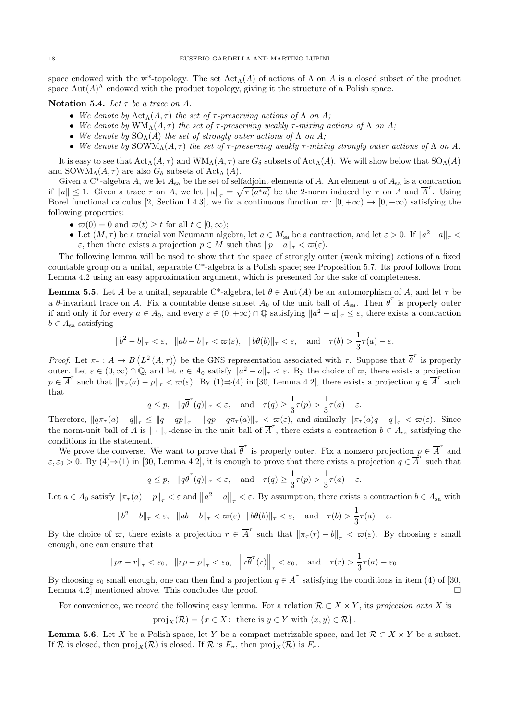space endowed with the w<sup>\*</sup>-topology. The set  $\text{Act}_{\Lambda}(A)$  of actions of  $\Lambda$  on A is a closed subset of the product space  $\text{Aut}(A)^\Lambda$  endowed with the product topology, giving it the structure of a Polish space.

<span id="page-17-0"></span>Notation 5.4. Let  $\tau$  be a trace on A.

- We denote by  $\text{Act}_{\Lambda}(A, \tau)$  the set of  $\tau$ -preserving actions of  $\Lambda$  on  $A$ ;
- We denote by  $WM_\Lambda(A,\tau)$  the set of  $\tau$ -preserving weakly  $\tau$ -mixing actions of  $\Lambda$  on  $A$ ;
- We denote by  $SO_{\Lambda}(A)$  the set of strongly outer actions of  $\Lambda$  on  $A$ ;
- We denote by  $\text{SOWM}_{\Lambda}(A, \tau)$  the set of  $\tau$ -preserving weakly  $\tau$ -mixing strongly outer actions of  $\Lambda$  on A.

It is easy to see that  $\text{Act}_{\Lambda}(A, \tau)$  and  $\text{WM}_{\Lambda}(A, \tau)$  are  $G_{\delta}$  subsets of  $\text{Act}_{\Lambda}(A)$ . We will show below that  $\text{SO}_{\Lambda}(A)$ and  $\text{SOWM}_{\Lambda}(A, \tau)$  are also  $G_{\delta}$  subsets of  $\text{Act}_{\Lambda}(A)$ .

Given a C<sup>\*</sup>-algebra A, we let  $A_{sa}$  be the set of selfadjoint elements of A. An element a of  $A_{sa}$  is a contraction if  $||a|| \leq 1$ . Given a trace  $\tau$  on A, we let  $||a||_{\tau} = \sqrt{\tau(a^*a)}$  be the 2-norm induced by  $\tau$  on A and  $\overline{A}^{\tau}$ . Using Borel functional calculus [\[2,](#page-22-9) Section I.4.3], we fix a continuous function  $\varpi : [0, +\infty) \to [0, +\infty)$  satisfying the following properties:

- $\overline{\omega}(0) = 0$  and  $\overline{\omega}(t) \geq t$  for all  $t \in [0, \infty)$ ;
- Let  $(M, \tau)$  be a tracial von Neumann algebra, let  $a \in M_{sa}$  be a contraction, and let  $\varepsilon > 0$ . If  $||a^2 a||_{\tau} <$  $\varepsilon$ , then there exists a projection  $p \in M$  such that  $||p - a||_{\tau} < \varpi(\varepsilon)$ .

The following lemma will be used to show that the space of strongly outer (weak mixing) actions of a fixed countable group on a unital, separable C\*-algebra is a Polish space; see Proposition [5.7.](#page-18-0) Its proof follows from Lemma 4.2 using an easy approximation argument, which is presented for the sake of completeness.

<span id="page-17-1"></span>**Lemma 5.5.** Let A be a unital, separable C\*-algebra, let  $\theta \in Aut(A)$  be an automorphism of A, and let  $\tau$  be a θ-invariant trace on A. Fix a countable dense subset  $A_0$  of the unit ball of  $A_{sa}$ . Then  $\overline{\theta}^{\tau}$  is properly outer if and only if for every  $a \in A_0$ , and every  $\varepsilon \in (0, +\infty) \cap \mathbb{Q}$  satisfying  $||a^2 - a||_{\tau} \leq \varepsilon$ , there exists a contraction  $b \in A_{sa}$  satisfying

$$
||b^2 - b||_{\tau} < \varepsilon, \quad ||ab - b||_{\tau} < \varpi(\varepsilon), \quad ||b\theta(b)||_{\tau} < \varepsilon, \quad \text{and} \quad \tau(b) > \frac{1}{3}\tau(a) - \varepsilon.
$$

Proof. Let  $\pi_{\tau}: A \to B(L^2(A, \tau))$  be the GNS representation associated with  $\tau$ . Suppose that  $\overline{\theta}^{\tau}$  is properly outer. Let  $\varepsilon \in (0,\infty) \cap \mathbb{Q}$ , and let  $a \in A_0$  satisfy  $\|a^2 - a\|_{\tau} < \varepsilon$ . By the choice of  $\varpi$ , there exists a projection  $p \in \overline{A}^{\tau}$  such that  $\|\pi_{\tau}(a) - p\|_{\tau} < \varpi(\varepsilon)$ . By  $(1) \Rightarrow (4)$  in [\[30,](#page-22-10) Lemma 4.2], there exists a projection  $q \in \overline{A}^{\tau}$  such that

$$
q \leq p
$$
,  $||q\overline{\theta}^{\tau}(q)||_{\tau} < \varepsilon$ , and  $\tau(q) \geq \frac{1}{3}\tau(p) > \frac{1}{3}\tau(a) - \varepsilon$ .

Therefore,  $||q\pi_{\tau}(a) - q||_{\tau} \le ||q - qp||_{\tau} + ||qp - q\pi_{\tau}(a)||_{\tau} < \varpi(\varepsilon)$ , and similarly  $||\pi_{\tau}(a)q - q||_{\tau} < \varpi(\varepsilon)$ . Since the norm-unit ball of A is  $\|\cdot\|_{\tau}$ -dense in the unit ball of  $\overline{A}^{\tau}$ , there exists a contraction  $b \in A_{sa}$  satisfying the conditions in the statement.

We prove the converse. We want to prove that  $\overline{\theta}^{\tau}$  is properly outer. Fix a nonzero projection  $p \in \overline{A}^{\tau}$  and  $\varepsilon, \varepsilon_0 > 0$ . By  $(4) \Rightarrow (1)$  in [\[30,](#page-22-10) Lemma 4.2], it is enough to prove that there exists a projection  $q \in \overline{A}^{\tau}$  such that

$$
q \leq p
$$
,  $||q\overline{\theta}^{\tau}(q)||_{\tau} < \varepsilon$ , and  $\tau(q) \geq \frac{1}{3}\tau(p) > \frac{1}{3}\tau(a) - \varepsilon$ .

Let  $a \in A_0$  satisfy  $\|\pi_\tau(a) - p\|_\tau < \varepsilon$  and  $\|a^2 - a\|_\tau < \varepsilon$ . By assumption, there exists a contraction  $b \in A_{sa}$  with

$$
\|b^2 - b\|_{\tau} < \varepsilon, \quad \|ab - b\|_{\tau} < \varpi(\varepsilon) \quad \|b\theta(b)\|_{\tau} < \varepsilon, \quad \text{and} \quad \tau(b) > \frac{1}{3}\tau(a) - \varepsilon.
$$

By the choice of  $\varpi$ , there exists a projection  $r \in \overline{A}^{\tau}$  such that  $\|\pi_{\tau}(r) - b\|_{\tau} < \varpi(\varepsilon)$ . By choosing  $\varepsilon$  small enough, one can ensure that

$$
||pr - r||_{\tau} < \varepsilon_0
$$
,  $||rp - p||_{\tau} < \varepsilon_0$ ,  $||r\overline{\theta}^{\tau}(r)||_{\tau} < \varepsilon_0$ , and  $\tau(r) > \frac{1}{3}\tau(a) - \varepsilon_0$ .

By choosing  $\varepsilon_0$  small enough, one can then find a projection  $q \in \overline{A}^{\tau}$  satisfying the conditions in item (4) of [\[30,](#page-22-10) Lemma 4.2] mentioned above. This concludes the proof.

For convenience, we record the following easy lemma. For a relation  $\mathcal{R} \subset X \times Y$ , its projection onto X is

$$
\text{proj}_X(\mathcal{R}) = \{ x \in X : \text{ there is } y \in Y \text{ with } (x, y) \in \mathcal{R} \}.
$$

<span id="page-17-2"></span>**Lemma 5.6.** Let X be a Polish space, let Y be a compact metrizable space, and let  $\mathcal{R} \subset X \times Y$  be a subset. If R is closed, then  $\text{proj}_X(\mathcal{R})$  is closed. If R is  $F_\sigma$ , then  $\text{proj}_X(\mathcal{R})$  is  $F_\sigma$ .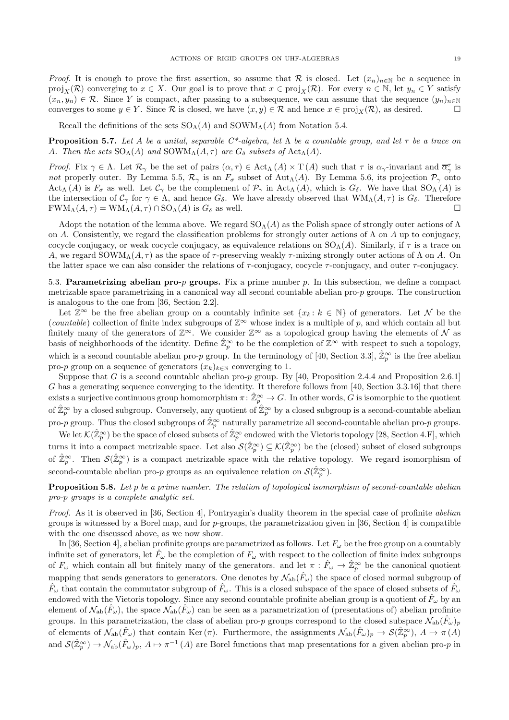*Proof.* It is enough to prove the first assertion, so assume that R is closed. Let  $(x_n)_{n\in\mathbb{N}}$  be a sequence in proj<sub>X</sub>(R) converging to  $x \in X$ . Our goal is to prove that  $x \in \text{proj}_X(\mathcal{R})$ . For every  $n \in \mathbb{N}$ , let  $y_n \in Y$  satisfy  $(x_n, y_n) \in \mathcal{R}$ . Since Y is compact, after passing to a subsequence, we can assume that the sequence  $(y_n)_{n\in\mathbb{N}}$ converges to some  $y \in Y$ . Since R is closed, we have  $(x, y) \in \mathcal{R}$  and hence  $x \in \text{proj}_X(\mathcal{R})$ , as desired.

Recall the definitions of the sets  $SO_\Lambda(A)$  and  $SOWM_\Lambda(A)$  from Notation [5.4.](#page-17-0)

<span id="page-18-0"></span>**Proposition 5.7.** Let A be a unital, separable  $C^*$ -algebra, let  $\Lambda$  be a countable group, and let  $\tau$  be a trace on A. Then the sets  $SO_{\Lambda}(A)$  and  $SOWM_{\Lambda}(A, \tau)$  are  $G_{\delta}$  subsets of Act<sub>Λ</sub>(A).

Proof. Fix  $\gamma \in \Lambda$ . Let  $\mathcal{R}_{\gamma}$  be the set of pairs  $(\alpha, \tau) \in \text{Act}_{\Lambda}(A) \times \text{T}(A)$  such that  $\tau$  is  $\alpha_{\gamma}$ -invariant and  $\overline{\alpha}_{\gamma}^{\tau}$  is not properly outer. By Lemma [5.5,](#page-17-1)  $\mathcal{R}_{\gamma}$  is an  $F_{\sigma}$  subset of Aut<sub>Λ</sub>(A). By Lemma [5.6,](#page-17-2) its projection  $\mathcal{P}_{\gamma}$  onto  $\text{Act}_{\Lambda}(A)$  is  $F_{\sigma}$  as well. Let  $\mathcal{C}_{\gamma}$  be the complement of  $\mathcal{P}_{\gamma}$  in  $\text{Act}_{\Lambda}(A)$ , which is  $G_{\delta}$ . We have that  $\text{SO}_{\Lambda}(A)$  is the intersection of  $C_\gamma$  for  $\gamma \in \Lambda$ , and hence  $G_\delta$ . We have already observed that  $WM_\Lambda(A, \tau)$  is  $G_\delta$ . Therefore  $FWM_{\Lambda}(A, \tau) = WM_{\Lambda}(A, \tau) \cap SO_{\Lambda}(A)$  is  $G_{\delta}$  as well.

Adopt the notation of the lemma above. We regard  $SO_\Lambda(A)$  as the Polish space of strongly outer actions of  $\Lambda$ on A. Consistently, we regard the classification problems for strongly outer actions of  $\Lambda$  on A up to conjugacy, cocycle conjugacy, or weak cocycle conjugacy, as equivalence relations on  $SO_{\Lambda}(A)$ . Similarly, if  $\tau$  is a trace on A, we regard  $\text{SOWM}_{\Lambda}(A, \tau)$  as the space of  $\tau$ -preserving weakly  $\tau$ -mixing strongly outer actions of  $\Lambda$  on A. On the latter space we can also consider the relations of  $\tau$ -conjugacy, cocycle  $\tau$ -conjugacy, and outer  $\tau$ -conjugacy.

<span id="page-18-1"></span>5.3. Parametrizing abelian pro-p groups. Fix a prime number p. In this subsection, we define a compact metrizable space parametrizing in a canonical way all second countable abelian pro-p groups. The construction is analogous to the one from [\[36,](#page-23-17) Section 2.2].

Let  $\mathbb{Z}^{\infty}$  be the free abelian group on a countably infinite set  $\{x_k : k \in \mathbb{N}\}\$  of generators. Let N be the (countable) collection of finite index subgroups of  $\mathbb{Z}^{\infty}$  whose index is a multiple of p, and which contain all but finitely many of the generators of  $\mathbb{Z}^{\infty}$ . We consider  $\mathbb{Z}^{\infty}$  as a topological group having the elements of N as basis of neighborhoods of the identity. Define  $\hat{\mathbb{Z}}_p^{\infty}$  to be the completion of  $\mathbb{Z}^{\infty}$  with respect to such a topology, which is a second countable abelian pro-p group. In the terminology of [\[40,](#page-23-15) Section 3.3],  $\hat{\mathbb{Z}}_p^{\infty}$  is the free abelian pro-p group on a sequence of generators  $(x_k)_{k\in\mathbb{N}}$  converging to 1.

Suppose that G is a second countable abelian pro-p group. By [\[40,](#page-23-15) Proposition 2.4.4 and Proposition 2.6.1] G has a generating sequence converging to the identity. It therefore follows from [\[40,](#page-23-15) Section 3.3.16] that there exists a surjective continuous group homomorphism  $\pi \colon \hat{\mathbb{Z}}_p^{\infty} \to G$ . In other words, G is isomorphic to the quotient of  $\hat{\mathbb{Z}}_p^{\infty}$  by a closed subgroup. Conversely, any quotient of  $\hat{\mathbb{Z}}_p^{\infty}$  by a closed subgroup is a second-countable abelian pro-p group. Thus the closed subgroups of  $\hat{\mathbb{Z}}_p^{\infty}$  naturally parametrize all second-countable abelian pro-p groups.

We let  $\mathcal{K}(\hat{\mathbb{Z}}_p^\infty)$  be the space of closed subsets of  $\hat{\mathbb{Z}}_p^\infty$  endowed with the Vietoris topology [\[28,](#page-22-22) Section 4.F], which turns it into a compact metrizable space. Let also  $\mathcal{S}(\hat{\mathbb{Z}}_p^{\infty}) \subseteq \mathcal{K}(\hat{\mathbb{Z}}_p^{\infty})$  be the (closed) subset of closed subgroups of  $\hat{\mathbb{Z}}_p^{\infty}$ . Then  $\mathcal{S}(\hat{\mathbb{Z}}_p^{\infty})$  is a compact metrizable space with the relative topology. We regard isomorphism of second-countable abelian pro-*p* groups as an equivalence relation on  $\mathcal{S}(\hat{\mathbb{Z}}_p^{\infty})$ .

Proposition 5.8. Let p be a prime number. The relation of topological isomorphism of second-countable abelian pro-p groups is a complete analytic set.

Proof. As it is observed in [\[36,](#page-23-17) Section 4], Pontryagin's duality theorem in the special case of profinite abelian groups is witnessed by a Borel map, and for p-groups, the parametrization given in [\[36,](#page-23-17) Section 4] is compatible with the one discussed above, as we now show.

In [\[36,](#page-23-17) Section 4], abelian profinite groups are parametrized as follows. Let  $F_{\omega}$  be the free group on a countably infinite set of generators, let  $\hat{F}_\omega$  be the completion of  $F_\omega$  with respect to the collection of finite index subgroups of  $F_\omega$  which contain all but finitely many of the generators. and let  $\pi : \hat{F}_\omega \to \hat{\mathbb{Z}}_p^\infty$  be the canonical quotient mapping that sends generators to generators. One denotes by  $\mathcal{N}_{ab}(\hat{F}_\omega)$  the space of closed normal subgroup of  $\hat{F}_\omega$  that contain the commutator subgroup of  $\hat{F}_\omega$ . This is a closed subspace of the space of closed subsets of  $\hat{F}_\omega$ endowed with the Vietoris topology. Since any second countable profinite abelian group is a quotient of  $\hat{F}_\omega$  by an element of  $\mathcal{N}_{ab}(\hat{F}_{\omega})$ , the space  $\mathcal{N}_{ab}(\hat{F}_{\omega})$  can be seen as a parametrization of (presentations of) abelian profinite groups. In this parametrization, the class of abelian pro-p groups correspond to the closed subspace  $\mathcal{N}_{ab}(\hat{F}_{\omega})_p$ of elements of  $\mathcal{N}_{ab}(\hat{F}_{\omega})$  that contain Ker  $(\pi)$ . Furthermore, the assignments  $\mathcal{N}_{ab}(\hat{F}_{\omega})_p \to \mathcal{S}(\hat{\mathbb{Z}}_p^{\infty})$ ,  $A \mapsto \pi(A)$ and  $\mathcal{S}(\hat{\mathbb{Z}}_p^{\infty}) \to \mathcal{N}_{ab}(\hat{F}_{\omega})_p$ ,  $A \mapsto \pi^{-1}(A)$  are Borel functions that map presentations for a given abelian pro-p in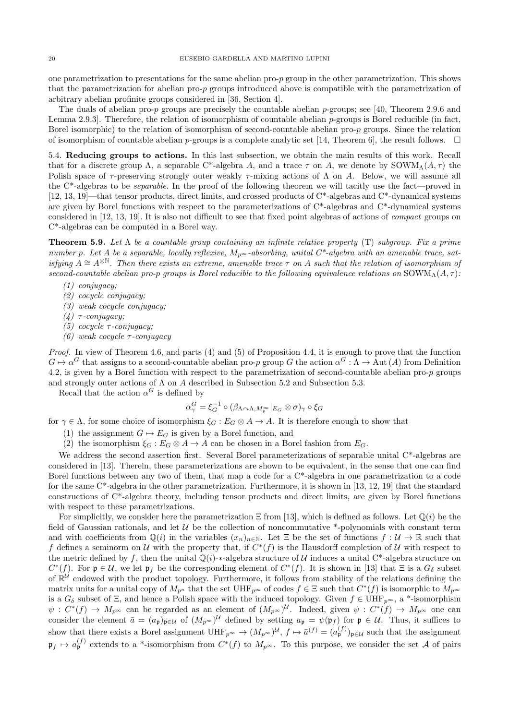one parametrization to presentations for the same abelian pro-p group in the other parametrization. This shows that the parametrization for abelian pro-p groups introduced above is compatible with the parametrization of arbitrary abelian profinite groups considered in [\[36,](#page-23-17) Section 4].

The duals of abelian pro-p groups are precisely the countable abelian p-groups; see [\[40,](#page-23-15) Theorem 2.9.6 and Lemma 2.9.3]. Therefore, the relation of isomorphism of countable abelian  $p$ -groups is Borel reducible (in fact, Borel isomorphic) to the relation of isomorphism of second-countable abelian pro- $p$  groups. Since the relation of isomorphism of countable abelian p-groups is a complete analytic set [\[14,](#page-22-25) Theorem 6], the result follows.  $\Box$ 

5.4. Reducing groups to actions. In this last subsection, we obtain the main results of this work. Recall that for a discrete group  $\Lambda$ , a separable C<sup>\*</sup>-algebra A, and a trace  $\tau$  on A, we denote by SOWM<sub>A</sub> $(A, \tau)$  the Polish space of  $\tau$ -preserving strongly outer weakly  $\tau$ -mixing actions of  $\Lambda$  on  $A$ . Below, we will assume all the  $C^*$ -algebras to be *separable*. In the proof of the following theorem we will tacitly use the fact—proved in [\[12,](#page-22-26) [13,](#page-22-27) [19\]](#page-22-28)—that tensor products, direct limits, and crossed products of C\*-algebras and C\*-dynamical systems are given by Borel functions with respect to the parameterizations of C\*-algebras and C\*-dynamical systems considered in [\[12,](#page-22-26) [13,](#page-22-27) [19\]](#page-22-28). It is also not difficult to see that fixed point algebras of actions of compact groups on C\*-algebras can be computed in a Borel way.

<span id="page-19-0"></span>**Theorem 5.9.** Let  $\Lambda$  be a countable group containing an infinite relative property (T) subgroup. Fix a prime number p. Let A be a separable, locally reflexive,  $M_{p^{\infty}}$ -absorbing, unital C\*-algebra with an amenable trace, satisfying  $A \cong A^{\otimes N}$ . Then there exists an extreme, amenable trace  $\tau$  on A such that the relation of isomorphism of second-countable abelian pro-p groups is Borel reducible to the following equivalence relations on  $\text{SOWM}_{\Lambda}(A, \tau)$ :

- (1) conjugacy;
- (2) cocycle conjugacy;
- (3) weak cocycle conjugacy;
- (4) τ-conjugacy;
- (5) cocycle  $\tau$ -conjugacy:
- (6) weak cocycle  $\tau$ -conjugacy

Proof. In view of Theorem [4.6,](#page-13-0) and parts (4) and (5) of Proposition [4.4,](#page-12-0) it is enough to prove that the function  $G \mapsto \alpha^G$  that assigns to a second-countable abelian pro-p group G the action  $\alpha^G : \Lambda \to \text{Aut}(A)$  from Definition [4.2,](#page-11-1) is given by a Borel function with respect to the parametrization of second-countable abelian pro-p groups and strongly outer actions of  $\Lambda$  on  $A$  described in Subsection [5.2](#page-16-0) and Subsection [5.3.](#page-18-1)

Recall that the action  $\alpha^G$  is defined by

$$
\alpha_{\gamma}^{G} = \xi_{G}^{-1} \circ (\beta_{\Lambda \curvearrowright \Lambda, M_p^{\infty}}|_{E_G} \otimes \sigma)_{\gamma} \circ \xi_{G}
$$

for  $\gamma \in \Lambda$ , for some choice of isomorphism  $\xi_G : E_G \otimes A \to A$ . It is therefore enough to show that

- (1) the assignment  $G \mapsto E_G$  is given by a Borel function, and
- (2) the isomorphism  $\xi_G : E_G \otimes A \to A$  can be chosen in a Borel fashion from  $E_G$ .

We address the second assertion first. Several Borel parameterizations of separable unital C<sup>\*</sup>-algebras are considered in [\[13\]](#page-22-27). Therein, these parameterizations are shown to be equivalent, in the sense that one can find Borel functions between any two of them, that map a code for a C\*-algebra in one parametrization to a code for the same C\*-algebra in the other parametrization. Furthermore, it is shown in [\[13,](#page-22-27) [12,](#page-22-26) [19\]](#page-22-28) that the standard constructions of C\*-algebra theory, including tensor products and direct limits, are given by Borel functions with respect to these parametrizations.

For simplicitly, we consider here the parametrization  $\Xi$  from [\[13\]](#page-22-27), which is defined as follows. Let  $\mathbb{Q}(i)$  be the field of Gaussian rationals, and let  $U$  be the collection of noncommutative  $*$ -polynomials with constant term and with coefficients from  $\mathbb{Q}(i)$  in the variables  $(x_n)_{n\in\mathbb{N}}$ . Let  $\Xi$  be the set of functions  $f: \mathcal{U} \to \mathbb{R}$  such that f defines a seminorm on U with the property that, if  $C^*(f)$  is the Hausdorff completion of U with respect to the metric defined by f, then the unital  $\mathbb{Q}(i)$ -\*-algebra structure of U induces a unital C<sup>\*</sup>-algebra structure on  $C^*(f)$ . For  $\mathfrak{p} \in \mathcal{U}$ , we let  $\mathfrak{p}_f$  be the corresponding element of  $C^*(f)$ . It is shown in [\[13\]](#page-22-27) that  $\Xi$  is a  $G_{\delta}$  subset of  $\mathbb{R}^{\mathcal{U}}$  endowed with the product topology. Furthermore, it follows from stability of the relations defining the matrix units for a unital copy of  $M_{p^n}$  that the set  $UHF_{p^{\infty}}$  of codes  $f \in \Xi$  such that  $C^*(f)$  is isomorphic to  $M_{p^{\infty}}$ is a  $G_{\delta}$  subset of  $\Xi$ , and hence a Polish space with the induced topology. Given  $f \in \text{UHF}_{p^{\infty}}$ , a \*-isomorphism  $\psi : C^*(f) \to M_{p^{\infty}}$  can be regarded as an element of  $(M_{p^{\infty}})^{\mathcal{U}}$ . Indeed, given  $\psi : C^*(f) \to M_{p^{\infty}}$  one can consider the element  $\bar{a} = (a_{\mathfrak{p}})_{\mathfrak{p} \in \mathcal{U}}$  of  $(M_{p^{\infty}})^{\mathcal{U}}$  defined by setting  $a_{\mathfrak{p}} = \psi(\mathfrak{p}_f)$  for  $\mathfrak{p} \in \mathcal{U}$ . Thus, it suffices to show that there exists a Borel assignment  $\text{UHF}_{p^{\infty}} \to (M_{p^{\infty}})^{\mathcal{U}}, f \mapsto \bar{a}^{(f)} = (a_{\mathfrak{p}}^{(f)})_{\mathfrak{p} \in \mathcal{U}}$  such that the assignment  $\mathfrak{p}_f \mapsto a_{\mathfrak{p}}^{(f)}$  extends to a \*-isomorphism from  $C^*(f)$  to  $M_{p^{\infty}}$ . To this purpose, we consider the set A of pairs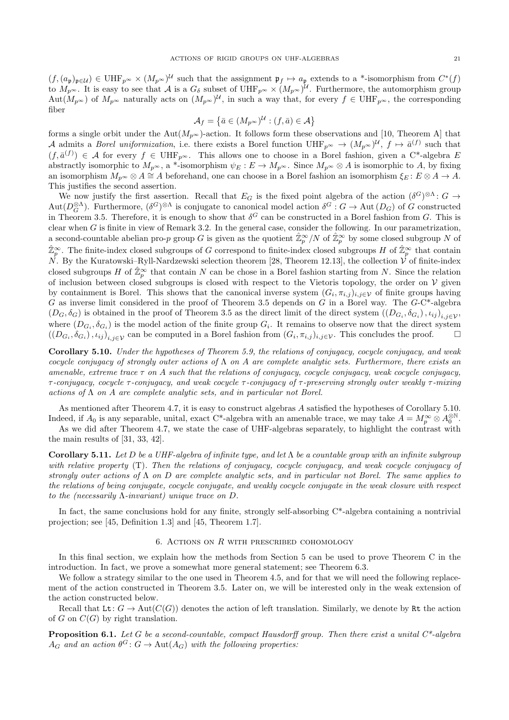$(f, (a_{\mathfrak{p}})_{\mathfrak{p}\in\mathcal{U}}) \in \mathrm{UHF}_{p^{\infty}} \times (M_{p^{\infty}})^{\mathcal{U}}$  such that the assignment  $\mathfrak{p}_f \mapsto a_{\mathfrak{p}}$  extends to a \*-isomorphism from  $C^*(f)$ to  $M_{p^{\infty}}$ . It is easy to see that A is a  $G_{\delta}$  subset of UHF<sub>p<sup>∞</sup></sub>  $\times$   $(M_{p^{\infty}})^{\mathcal{U}}$ . Furthermore, the automorphism group Aut $(M_{p^{\infty}})$  of  $M_{p^{\infty}}$  naturally acts on  $(M_{p^{\infty}})^{\mathcal{U}}$ , in such a way that, for every  $f \in UHF_{p^{\infty}}$ , the corresponding fiber

$$
\mathcal{A}_f = \left\{ \bar{a} \in (M_{p^{\infty}})^{\mathcal{U}} : (f, \bar{a}) \in \mathcal{A} \right\}
$$

forms a single orbit under the Aut $(M_{p^{\infty}})$ -action. It follows form these observations and [\[10,](#page-22-29) Theorem A] that A admits a *Borel uniformization*, i.e. there exists a Borel function  $UHF_{p^{\infty}} \to (M_{p^{\infty}})^{\mathcal{U}}, f \mapsto \bar{a}^{(f)}$  such that  $(f, \bar{a}^{(f)}) \in A$  for every  $f \in \mathrm{UHF}_{p^{\infty}}$ . This allows one to choose in a Borel fashion, given a C<sup>\*</sup>-algebra E abstractly isomorphic to  $M_{p^{\infty}}$ , a \*-isomorphism  $\psi_E : E \to M_{p^{\infty}}$ . Since  $M_{p^{\infty}} \otimes A$  is isomorphic to A, by fixing an isomorphism  $M_{p^{\infty}} \otimes A \cong A$  beforehand, one can choose in a Borel fashion an isomorphism  $\xi_E : E \otimes A \to A$ . This justifies the second assertion.

We now justify the first assertion. Recall that  $E_G$  is the fixed point algebra of the action  $(\delta^G)^{\otimes \Lambda}$ :  $G \to$  $Aut(D_G^{\otimes \Lambda})$ . Furthermore,  $(\delta^G)^{\otimes \Lambda}$  is conjugate to canonical model action  $\delta^G: G \to Aut(D_G)$  of G constructed in Theorem [3.5.](#page-8-0) Therefore, it is enough to show that  $\delta^G$  can be constructed in a Borel fashion from G. This is clear when  $G$  is finite in view of Remark [3.2.](#page-7-2) In the general case, consider the following. In our parametrization, a second-countable abelian pro-p group G is given as the quotient  $\hat{\mathbb{Z}}_p^{\infty}/N$  of  $\hat{\mathbb{Z}}_p^{\infty}$  by some closed subgroup N of  $\hat{\mathbb{Z}}_p^{\infty}$ . The finite-index closed subgroups of G correspond to finite-index closed subgroups H of  $\hat{\mathbb{Z}}_p^{\infty}$  that contain  $N$ . By the Kuratowski–Ryll-Nardzewski selection theorem [\[28,](#page-22-22) Theorem 12.13], the collection  $\mathcal{V}$  of finite-index closed subgroups H of  $\hat{\mathbb{Z}}_p^{\infty}$  that contain N can be chose in a Borel fashion starting from N. Since the relation of inclusion between closed subgroups is closed with respect to the Vietoris topology, the order on  $\mathcal V$  given by containment is Borel. This shows that the canonical inverse system  $(G_i, \pi_{i,j})_{i,j\in\mathcal{V}}$  of finite groups having  $G$  as inverse limit considered in the proof of Theorem [3.5](#page-8-0) depends on  $G$  in a Borel way. The  $G$ -C\*-algebra  $(D_G, \delta_G)$  is obtained in the proof of Theorem [3.5](#page-8-0) as the direct limit of the direct system  $((D_{G_i}, \delta_{G_i}), \iota_{ij})_{i,j \in \mathcal{V}}$ , where  $(D_{G_i}, \delta_{G_i})$  is the model action of the finite group  $G_i$ . It remains to observe now that the direct system  $((D_{G_i}, \delta_{G_i}), \iota_{ij})_{i,j \in \mathcal{V}}$  can be computed in a Borel fashion from  $(G_i, \pi_{i,j})_{i,j \in \mathcal{V}}$ . This concludes the proof.  $\square$ 

<span id="page-20-1"></span>Corollary 5.10. Under the hypotheses of Theorem [5.9,](#page-19-0) the relations of conjugacy, cocycle conjugacy, and weak cocycle conjugacy of strongly outer actions of  $\Lambda$  on A are complete analytic sets. Furthermore, there exists an amenable, extreme trace  $\tau$  on A such that the relations of conjugacy, cocycle conjugacy, weak cocycle conjugacy, τ-conjugacy, cocycle τ-conjugacy, and weak cocycle τ-conjugacy of τ-preserving strongly outer weakly τ-mixing actions of  $\Lambda$  on A are complete analytic sets, and in particular not Borel.

As mentioned after Theorem [4.7,](#page-15-1) it is easy to construct algebras A satisfied the hypotheses of Corollary [5.10.](#page-20-1) Indeed, if  $A_0$  is any separable, unital, exact C\*-algebra with an amenable trace, we may take  $A = M_p^{\infty} \otimes A_0^{\otimes \mathbb{N}}$ .

As we did after Theorem [4.7,](#page-15-1) we state the case of UHF-algebras separately, to highlight the contrast with the main results of [\[31,](#page-23-2) [33,](#page-23-3) [42\]](#page-23-4).

<span id="page-20-0"></span>Corollary 5.11. Let D be a UHF-algebra of infinite type, and let  $\Lambda$  be a countable group with an infinite subgroup with relative property (T). Then the relations of conjugacy, cocycle conjugacy, and weak cocycle conjugacy of strongly outer actions of  $\Lambda$  on D are complete analytic sets, and in particular not Borel. The same applies to the relations of being conjugate, cocycle conjugate, and weakly cocycle conjugate in the weak closure with respect to the (necessarily Λ-invariant) unique trace on D.

In fact, the same conclusions hold for any finite, strongly self-absorbing C\*-algebra containing a nontrivial projection; see [\[45,](#page-23-16) Definition 1.3] and [\[45,](#page-23-16) Theorem 1.7].

### 6. ACTIONS ON  $R$  with prescribed cohomology

In this final section, we explain how the methods from Section [5](#page-15-2) can be used to prove Theorem C in the introduction. In fact, we prove a somewhat more general statement; see Theorem [6.3.](#page-21-0)

We follow a strategy similar to the one used in Theorem [4.5,](#page-13-1) and for that we will need the following replacement of the action constructed in Theorem [3.5.](#page-8-0) Later on, we will be interested only in the weak extension of the action constructed below.

Recall that  $\texttt{Lt}: G \to \text{Aut}(C(G))$  denotes the action of left translation. Similarly, we denote by Rt the action of G on  $C(G)$  by right translation.

<span id="page-20-2"></span>**Proposition 6.1.** Let G be a second-countable, compact Hausdorff group. Then there exist a unital  $C^*$ -algebra  $A_G$  and an action  $\theta^G \colon G \to \text{Aut}(A_G)$  with the following properties: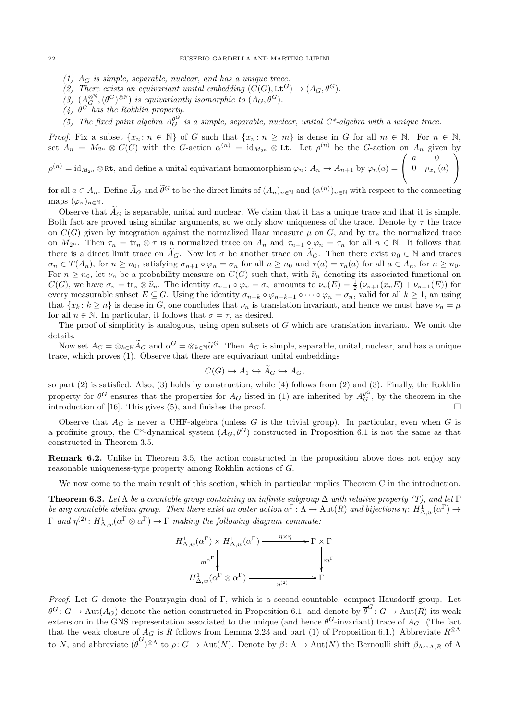- (1)  $A_G$  is simple, separable, nuclear, and has a unique trace.
- (2) There exists an equivariant unital embedding  $(C(G), L^G) \to (A_G, \theta^G)$ .
- (3)  $(A_G^{\otimes \mathbb{N}}, (\theta^G)^{\otimes \mathbb{N}})$  is equivariantly isomorphic to  $(A_G, \theta^G)$ .
- (4)  $\theta$ <sup>G</sup> has the Rokhlin property.
- (5) The fixed point algebra  $A_G^{\theta^G}$  is a simple, separable, nuclear, unital  $C^*$ -algebra with a unique trace.

*Proof.* Fix a subset  $\{x_n : n \in \mathbb{N}\}\$  of G such that  $\{x_n : n \geq m\}$  is dense in G for all  $m \in \mathbb{N}$ . For  $n \in \mathbb{N}$ , set  $A_n = M_{2^n} \otimes C(G)$  with the G-action  $\alpha^{(n)} = \mathrm{id}_{M_{2^n}} \otimes \mathtt{Lt}$ . Let  $\rho^{(n)}$  be the G-action on  $A_n$  given by  $\sqrt{ }$  $a \qquad 0$ Ý.

 $\mathbf{I}$ 

 $\rho^{(n)} = \text{id}_{M_{2^n}} \otimes \text{Rt}$ , and define a unital equivariant homomorphism  $\varphi_n \colon A_n \to A_{n+1}$  by  $\varphi_n(a) =$  $\mathbf{I}$  $0 \quad \rho_{x_n}(a)$ 

for all  $a \in A_n$ . Define  $\tilde{A}_G$  and  $\theta^G$  to be the direct limits of  $(A_n)_{n \in \mathbb{N}}$  and  $(\alpha^{(n)})_{n \in \mathbb{N}}$  with respect to the connecting maps  $(\varphi_n)_{n\in\mathbb{N}}$ .

Observe that  $\widetilde{A}_G$  is separable, unital and nuclear. We claim that it has a unique trace and that it is simple. Both fact are proved using similar arguments, so we only show uniqueness of the trace. Denote by  $\tau$  the trace on  $C(G)$  given by integration against the normalized Haar measure  $\mu$  on G, and by tr<sub>n</sub> the normalized trace on  $M_{2^n}$ . Then  $\tau_n = \text{tr}_n \otimes \tau$  is a normalized trace on  $A_n$  and  $\tau_{n+1} \circ \varphi_n = \tau_n$  for all  $n \in \mathbb{N}$ . It follows that there is a direct limit trace on  $\tilde{A}_G$ . Now let  $\sigma$  be another trace on  $\tilde{A}_G$ . Then there exist  $n_0 \in \mathbb{N}$  and traces  $\sigma_n \in T(A_n)$ , for  $n \geq n_0$ , satisfying  $\sigma_{n+1} \circ \varphi_n = \sigma_n$  for all  $n \geq n_0$  and  $\tau(a) = \tau_n(a)$  for all  $a \in A_n$ , for  $n \geq n_0$ . For  $n \ge n_0$ , let  $\nu_n$  be a probability measure on  $C(G)$  such that, with  $\widehat{\nu}_n$  denoting its associated functional on  $C(G)$ , we have  $\sigma_n = \text{tr}_n \otimes \widehat{\nu}_n$ . The identity  $\sigma_{n+1} \circ \varphi_n = \sigma_n$  amounts to  $\nu_n(E) = \frac{1}{2} (\nu_{n+1}(x_n E) + \nu_{n+1}(E))$  for every measurable subset  $E \subseteq G$ . Using the identity  $\sigma_{n+k} \circ \varphi_{n+k-1} \circ \cdots \circ \varphi_n = \sigma_n$ , valid for all  $k \geq 1$ , an using that  $\{x_k : k \geq n\}$  is dense in G, one concludes that  $\nu_n$  is translation invariant, and hence we must have  $\nu_n = \mu$ for all  $n \in \mathbb{N}$ . In particular, it follows that  $\sigma = \tau$ , as desired.

The proof of simplicity is analogous, using open subsets of G which are translation invariant. We omit the details.

Now set  $A_G = \otimes_{k \in \mathbb{N}} \tilde{A}_G$  and  $\alpha^G = \otimes_{k \in \mathbb{N}} \tilde{\alpha}^G$ . Then  $A_G$  is simple, separable, unital, nuclear, and has a unique trace, which proves (1). Observe that there are equivariant unital embeddings

$$
C(G) \hookrightarrow A_1 \hookrightarrow A_G \hookrightarrow A_G,
$$

so part (2) is satisfied. Also, (3) holds by construction, while (4) follows from (2) and (3). Finally, the Rokhlin property for  $\theta^G$  ensures that the properties for  $A_G$  listed in (1) are inherited by  $A_G^{\theta^G}$ , by the theorem in the introduction of [\[16\]](#page-22-20). This gives (5), and finishes the proof.  $\square$ 

Observe that  $A_G$  is never a UHF-algebra (unless G is the trivial group). In particular, even when G is a profinite group, the C\*-dynamical system  $(A_G, \theta^G)$  constructed in Proposition [6.1](#page-20-2) is not the same as that constructed in Theorem [3.5.](#page-8-0)

Remark 6.2. Unlike in Theorem [3.5,](#page-8-0) the action constructed in the proposition above does not enjoy any reasonable uniqueness-type property among Rokhlin actions of G.

We now come to the main result of this section, which in particular implies Theorem C in the introduction.

<span id="page-21-0"></span>**Theorem 6.3.** Let  $\Lambda$  be a countable group containing an infinite subgroup  $\Delta$  with relative property (T), and let  $\Gamma$ be any countable abelian group. Then there exist an outer action  $\alpha^{\Gamma} \colon \Lambda \to \text{Aut}(R)$  and bijections  $\eta \colon H^1_{\Delta,w}(\alpha^{\Gamma}) \to$  $\Gamma$  and  $\eta^{(2)}$ :  $H^1_{\Delta,w}(\alpha^{\Gamma} \otimes \alpha^{\Gamma}) \to \Gamma$  making the following diagram commute:

$$
H^1_{\Delta,w}(\alpha^{\Gamma}) \times H^1_{\Delta,w}(\alpha^{\Gamma}) \xrightarrow{\eta \times \eta} \Gamma \times \Gamma
$$
  

$$
m^{\alpha^{\Gamma}} \downarrow \qquad \qquad \downarrow \qquad \qquad \downarrow m^{\Gamma}
$$
  

$$
H^1_{\Delta,w}(\alpha^{\Gamma} \otimes \alpha^{\Gamma}) \xrightarrow{\eta^{(2)}} \Gamma
$$

Proof. Let G denote the Pontryagin dual of Γ, which is a second-countable, compact Hausdorff group. Let  $\theta^G: G \to \text{Aut}(A_G)$  denote the action constructed in Proposition [6.1,](#page-20-2) and denote by  $\overline{\theta}^G: G \to \text{Aut}(R)$  its weak extension in the GNS representation associated to the unique (and hence  $\theta^G$ -invariant) trace of  $A_G$ . (The fact that the weak closure of  $A_G$  is R follows from Lemma [2.23](#page-7-1) and part (1) of Proposition [6.1.](#page-20-2)) Abbreviate  $R^{\otimes\Lambda}$ to N, and abbreviate  $(\overline{\theta}^G)^{\otimes \Lambda}$  to  $\rho: G \to \text{Aut}(N)$ . Denote by  $\beta: \Lambda \to \text{Aut}(N)$  the Bernoulli shift  $\beta_{\Lambda \curvearrowright \Lambda,R}$  of  $\Lambda$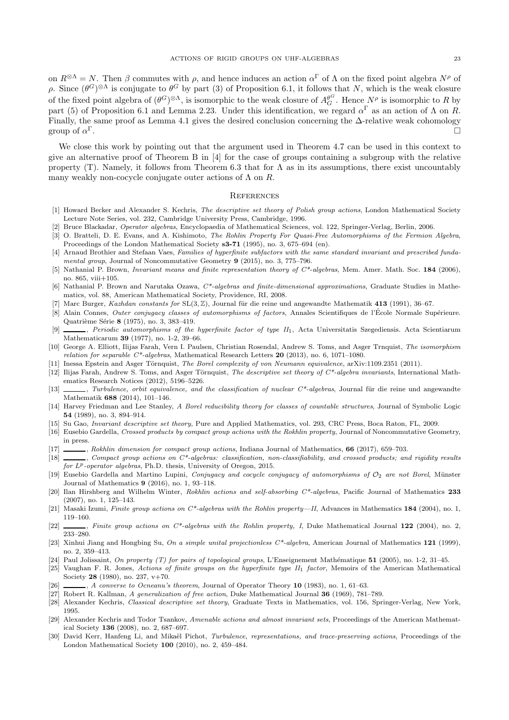on  $R^{\otimes \Lambda} = N$ . Then  $\beta$  commutes with  $\rho$ , and hence induces an action  $\alpha^{\Gamma}$  of  $\Lambda$  on the fixed point algebra  $N^{\rho}$  of ρ. Since  $(\theta^G)^{\otimes \Lambda}$  is conjugate to  $\theta^G$  by part (3) of Proposition [6.1,](#page-20-2) it follows that N, which is the weak closure of the fixed point algebra of  $(\theta^G)^{\otimes \Lambda}$ , is isomorphic to the weak closure of  $A_G^{\theta^G}$ . Hence  $N^{\rho}$  is isomorphic to R by part (5) of Proposition [6.1](#page-20-2) and Lemma [2.23.](#page-7-1) Under this identification, we regard  $\alpha^{\Gamma}$  as an action of  $\Lambda$  on  $R$ . Finally, the same proof as Lemma [4.1](#page-9-0) gives the desired conclusion concerning the  $\Delta$ -relative weak cohomology group of  $\alpha^{\Gamma}$ . <sup>Γ</sup>.

We close this work by pointing out that the argument used in Theorem [4.7](#page-15-1) can be used in this context to give an alternative proof of Theorem B in [\[4\]](#page-22-4) for the case of groups containing a subgroup with the relative property (T). Namely, it follows from [Theorem 6.3](#page-21-0) that for  $\Lambda$  as in its assumptions, there exist uncountably many weakly non-cocycle conjugate outer actions of  $\Lambda$  on  $R$ .

### **REFERENCES**

- <span id="page-22-24"></span><span id="page-22-9"></span>[1] Howard Becker and Alexander S. Kechris, *The descriptive set theory of Polish group actions*, London Mathematical Society Lecture Note Series, vol. 232, Cambridge University Press, Cambridge, 1996.
- <span id="page-22-7"></span>[2] Bruce Blackadar, *Operator algebras*, Encyclopaedia of Mathematical Sciences, vol. 122, Springer-Verlag, Berlin, 2006.
- [3] O. Bratteli, D. E. Evans, and A. Kishimoto, *The Rohlin Property For Quasi-Free Automorphisms of the Fermion Algebra*, Proceedings of the London Mathematical Society s3-71 (1995), no. 3, 675–694 (en).
- <span id="page-22-4"></span>[4] Arnaud Brothier and Stefaan Vaes, *Families of hyperfinite subfactors with the same standard invariant and prescribed fundamental group*, Journal of Noncommutative Geometry 9 (2015), no. 3, 775–796.
- <span id="page-22-16"></span>[5] Nathanial P. Brown, *Invariant means and finite representation theory of C\*-algebras*, Mem. Amer. Math. Soc. 184 (2006), no. 865, viii+105.
- <span id="page-22-15"></span>[6] Nathanial P. Brown and Narutaka Ozawa, *C\*-algebras and finite-dimensional approximations*, Graduate Studies in Mathematics, vol. 88, American Mathematical Society, Providence, RI, 2008.
- <span id="page-22-17"></span><span id="page-22-1"></span>[7] Marc Burger, *Kazhdan constants for* SL(3, Z), Journal für die reine und angewandte Mathematik 413 (1991), 36–67.
- [8] Alain Connes, *Outer conjugacy classes of automorphisms of factors*, Annales Scientifiques de l'École Normale Supérieure. Quatrième Série 8 (1975), no. 3, 383-419.
- <span id="page-22-0"></span>[9] , *Periodic automorphisms of the hyperfinite factor of type II*1, Acta Universitatis Szegediensis. Acta Scientiarum Mathematicarum 39 (1977), no. 1-2, 39–66.
- <span id="page-22-29"></span>[10] George A. Elliott, Ilijas Farah, Vern I. Paulsen, Christian Rosendal, Andrew S. Toms, and Asger Trnquist, *The isomorphism relation for separable C\*-algebras*, Mathematical Research Letters 20 (2013), no. 6, 1071–1080.
- <span id="page-22-26"></span><span id="page-22-8"></span>[11] Inessa Epstein and Asger Törnquist, *The Borel complexity of von Neumann equivalence*, arXiv:1109.2351 (2011).
- [12] Ilijas Farah, Andrew S. Toms, and Asger Törnquist, *The descriptive set theory of C\*-algebra invariants*, International Mathematics Research Notices (2012), 5196–5226.
- <span id="page-22-27"></span>[13] , *Turbulence, orbit equivalence, and the classification of nuclear C<sup>\*</sup>-algebras, Journal für die reine und angewandte* Mathematik 688 (2014), 101–146.
- <span id="page-22-25"></span>[14] Harvey Friedman and Lee Stanley, *A Borel reducibility theory for classes of countable structures*, Journal of Symbolic Logic 54 (1989), no. 3, 894–914.
- <span id="page-22-23"></span><span id="page-22-20"></span>[15] Su Gao, *Invariant descriptive set theory*, Pure and Applied Mathematics, vol. 293, CRC Press, Boca Raton, FL, 2009.
- [16] Eusebio Gardella, *Crossed products by compact group actions with the Rokhlin property*, Journal of Noncommutative Geometry, in press.
- <span id="page-22-21"></span><span id="page-22-14"></span>[17] , *Rokhlin dimension for compact group actions*, Indiana Journal of Mathematics, 66 (2017), 659–703.
- [18] , *Compact group actions on C<sup>\*</sup>-algebras: classification, non-classifiability, and crossed products; and rigidity results for* L p *-operator algebras*, Ph.D. thesis, University of Oregon, 2015.
- <span id="page-22-28"></span>[19] Eusebio Gardella and Martino Lupini, *Conjugacy and cocycle conjugacy of automorphisms of*  $\mathcal{O}_2$  *are not Borel*, Münster Journal of Mathematics 9 (2016), no. 1, 93–118.
- <span id="page-22-13"></span>[20] Ilan Hirshberg and Wilhelm Winter, *Rokhlin actions and self-absorbing C\*-algebras*, Pacific Journal of Mathematics 233 (2007), no. 1, 125–143.
- <span id="page-22-6"></span>[21] Masaki Izumi, *Finite group actions on C\*-algebras with the Rohlin property—II*, Advances in Mathematics 184 (2004), no. 1, 119–160.
- <span id="page-22-19"></span>[22]  $\ldots$ , *Finite group actions on C\*-algebras with the Rohlin property, I*, Duke Mathematical Journal 122 (2004), no. 2, 233–280.
- <span id="page-22-5"></span>[23] Xinhui Jiang and Hongbing Su, *On a simple unital projectionless C\*-algebra*, American Journal of Mathematics 121 (1999), no. 2, 359–413.
- <span id="page-22-18"></span><span id="page-22-2"></span>[24] Paul Jolissaint, *On property (T) for pairs of topological groups*, L'Enseignement Mathématique 51 (2005), no. 1-2, 31–45.
- [25] Vaughan F. R. Jones, *Actions of finite groups on the hyperfinite type II*1 *factor*, Memoirs of the American Mathematical Society 28 (1980), no. 237, v+70.
- <span id="page-22-11"></span><span id="page-22-3"></span>[26] , *A converse to Ocneanu's theorem*, Journal of Operator Theory 10 (1983), no. 1, 61–63.
- <span id="page-22-22"></span>[27] Robert R. Kallman, *A generalization of free action*, Duke Mathematical Journal 36 (1969), 781–789.
- [28] Alexander Kechris, *Classical descriptive set theory*, Graduate Texts in Mathematics, vol. 156, Springer-Verlag, New York, 1995.
- <span id="page-22-12"></span>[29] Alexander Kechris and Todor Tsankov, *Amenable actions and almost invariant sets*, Proceedings of the American Mathematical Society 136 (2008), no. 2, 687–697.
- <span id="page-22-10"></span>[30] David Kerr, Hanfeng Li, and Mikaël Pichot, *Turbulence, representations, and trace-preserving actions*, Proceedings of the London Mathematical Society 100 (2010), no. 2, 459–484.